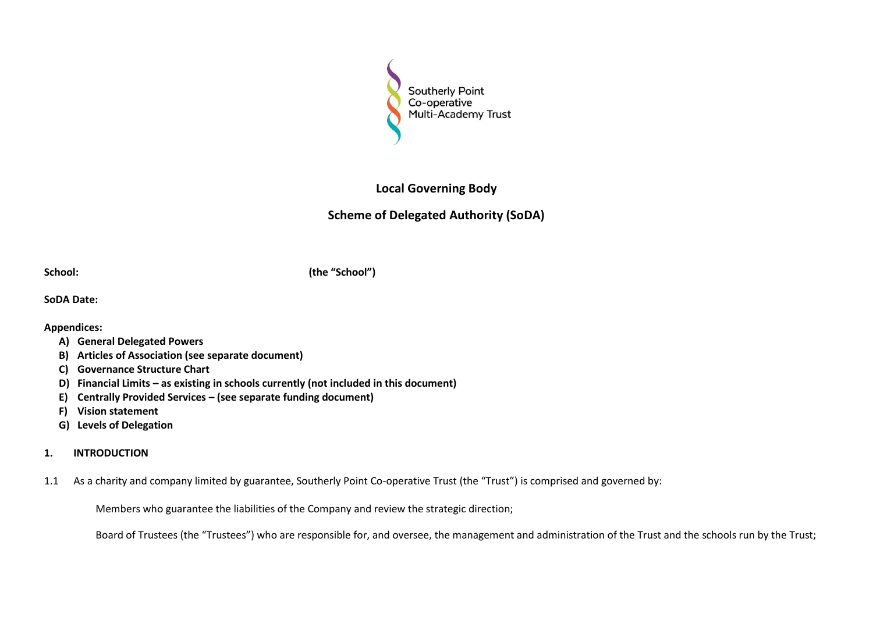

# **Local Governing Body**

# **Scheme of Delegated Authority (SoDA)**

**School: (the "School")**

**SoDA Date:**

# **Appendices:**

- **A) General Delegated Powers**
- **B) Articles of Association (see separate document)**
- **C) Governance Structure Chart**
- **D) Financial Limits – as existing in schools currently (not included in this document)**
- **E) Centrally Provided Services – (see separate funding document)**
- **F) Vision statement**
- **G) Levels of Delegation**
- **1. INTRODUCTION**
- 1.1 As a charity and company limited by guarantee, Southerly Point Co-operative Trust (the "Trust") is comprised and governed by:

Members who guarantee the liabilities of the Company and review the strategic direction;

Board of Trustees (the "Trustees") who are responsible for, and oversee, the management and administration of the Trust and the schools run by the Trust;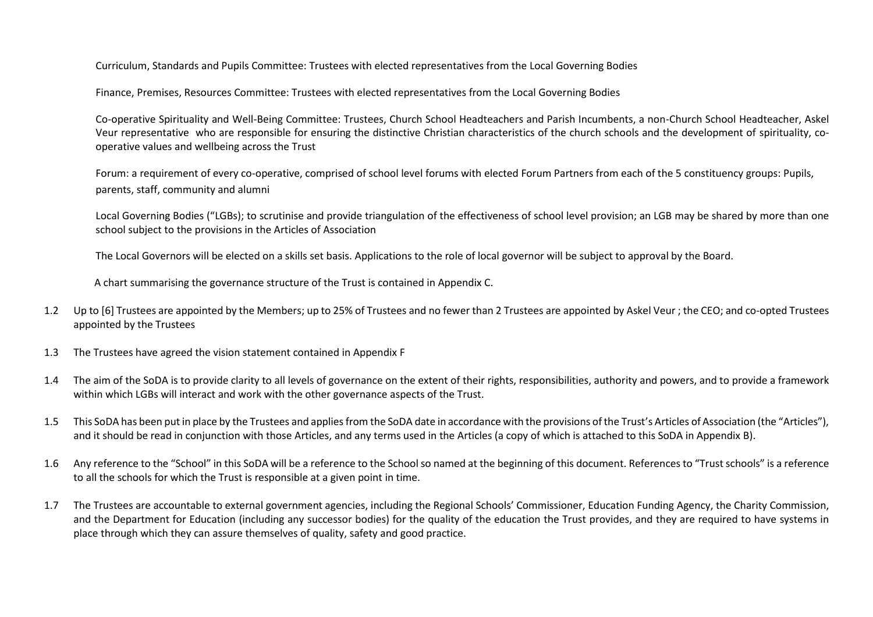Curriculum, Standards and Pupils Committee: Trustees with elected representatives from the Local Governing Bodies

Finance, Premises, Resources Committee: Trustees with elected representatives from the Local Governing Bodies

Co-operative Spirituality and Well-Being Committee: Trustees, Church School Headteachers and Parish Incumbents, a non-Church School Headteacher, Askel Veur representative who are responsible for ensuring the distinctive Christian characteristics of the church schools and the development of spirituality, cooperative values and wellbeing across the Trust

Forum: a requirement of every co-operative, comprised of school level forums with elected Forum Partners from each of the 5 constituency groups: Pupils, parents, staff, community and alumni

Local Governing Bodies ("LGBs); to scrutinise and provide triangulation of the effectiveness of school level provision; an LGB may be shared by more than one school subject to the provisions in the Articles of Association

The Local Governors will be elected on a skills set basis. Applications to the role of local governor will be subject to approval by the Board.

A chart summarising the governance structure of the Trust is contained in Appendix C.

- 1.2 Up to [6] Trustees are appointed by the Members; up to 25% of Trustees and no fewer than 2 Trustees are appointed by Askel Veur ; the CEO; and co-opted Trustees appointed by the Trustees
- 1.3 The Trustees have agreed the vision statement contained in Appendix F
- 1.4 The aim of the SoDA is to provide clarity to all levels of governance on the extent of their rights, responsibilities, authority and powers, and to provide a framework within which LGBs will interact and work with the other governance aspects of the Trust.
- 1.5 This SoDA has been put in place by the Trustees and applies from the SoDA date in accordance with the provisions of the Trust's Articles of Association (the "Articles"), and it should be read in conjunction with those Articles, and any terms used in the Articles (a copy of which is attached to this SoDA in Appendix B).
- 1.6 Any reference to the "School" in this SoDA will be a reference to the School so named at the beginning of this document. References to "Trust schools" is a reference to all the schools for which the Trust is responsible at a given point in time.
- 1.7 The Trustees are accountable to external government agencies, including the Regional Schools' Commissioner, Education Funding Agency, the Charity Commission, and the Department for Education (including any successor bodies) for the quality of the education the Trust provides, and they are required to have systems in place through which they can assure themselves of quality, safety and good practice.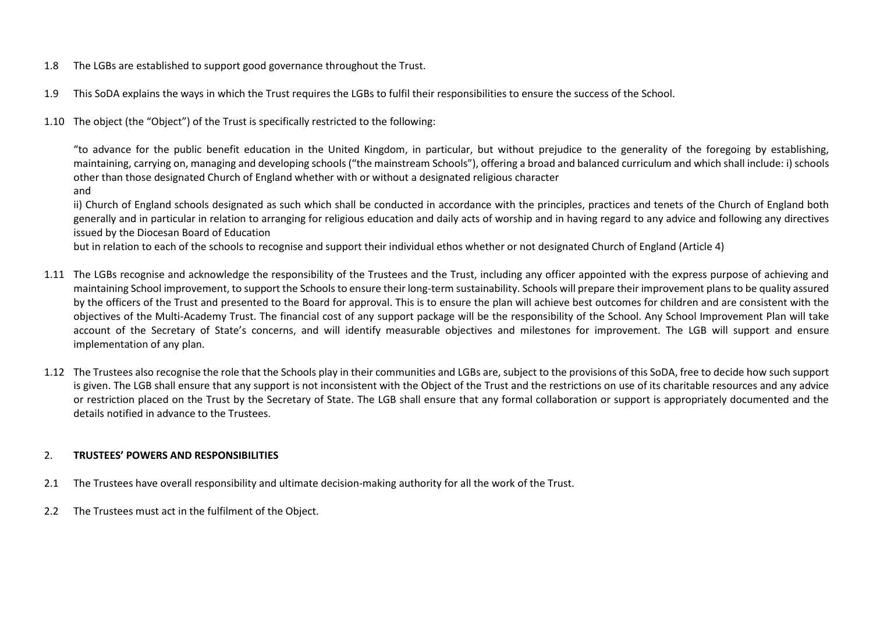- 1.8 The LGBs are established to support good governance throughout the Trust.
- 1.9 This SoDA explains the ways in which the Trust requires the LGBs to fulfil their responsibilities to ensure the success of the School.
- 1.10 The object (the "Object") of the Trust is specifically restricted to the following:

"to advance for the public benefit education in the United Kingdom, in particular, but without prejudice to the generality of the foregoing by establishing, maintaining, carrying on, managing and developing schools ("the mainstream Schools"), offering a broad and balanced curriculum and which shall include: i) schools other than those designated Church of England whether with or without a designated religious character

and

ii) Church of England schools designated as such which shall be conducted in accordance with the principles, practices and tenets of the Church of England both generally and in particular in relation to arranging for religious education and daily acts of worship and in having regard to any advice and following any directives issued by the Diocesan Board of Education

but in relation to each of the schools to recognise and support their individual ethos whether or not designated Church of England (Article 4)

- 1.11 The LGBs recognise and acknowledge the responsibility of the Trustees and the Trust, including any officer appointed with the express purpose of achieving and maintaining School improvement, to support the Schools to ensure their long-term sustainability. Schools will prepare their improvement plans to be quality assured by the officers of the Trust and presented to the Board for approval. This is to ensure the plan will achieve best outcomes for children and are consistent with the objectives of the Multi-Academy Trust. The financial cost of any support package will be the responsibility of the School. Any School Improvement Plan will take account of the Secretary of State's concerns, and will identify measurable objectives and milestones for improvement. The LGB will support and ensure implementation of any plan.
- 1.12 The Trustees also recognise the role that the Schools play in their communities and LGBs are, subject to the provisions of this SoDA, free to decide how such support is given. The LGB shall ensure that any support is not inconsistent with the Object of the Trust and the restrictions on use of its charitable resources and any advice or restriction placed on the Trust by the Secretary of State. The LGB shall ensure that any formal collaboration or support is appropriately documented and the details notified in advance to the Trustees.

# 2. **TRUSTEES' POWERS AND RESPONSIBILITIES**

- 2.1 The Trustees have overall responsibility and ultimate decision-making authority for all the work of the Trust.
- 2.2 The Trustees must act in the fulfilment of the Object.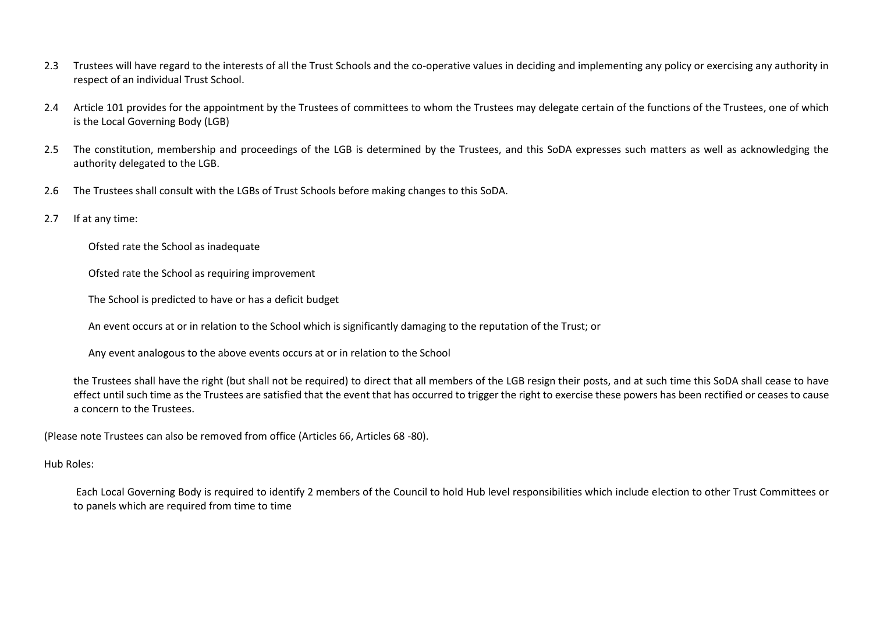- 2.3 Trustees will have regard to the interests of all the Trust Schools and the co-operative values in deciding and implementing any policy or exercising any authority in respect of an individual Trust School.
- 2.4 Article 101 provides for the appointment by the Trustees of committees to whom the Trustees may delegate certain of the functions of the Trustees, one of which is the Local Governing Body (LGB)
- 2.5 The constitution, membership and proceedings of the LGB is determined by the Trustees, and this SoDA expresses such matters as well as acknowledging the authority delegated to the LGB.
- 2.6 The Trustees shall consult with the LGBs of Trust Schools before making changes to this SoDA.
- 2.7 If at any time:
	- Ofsted rate the School as inadequate
	- Ofsted rate the School as requiring improvement
	- The School is predicted to have or has a deficit budget
	- An event occurs at or in relation to the School which is significantly damaging to the reputation of the Trust; or
	- Any event analogous to the above events occurs at or in relation to the School
	- the Trustees shall have the right (but shall not be required) to direct that all members of the LGB resign their posts, and at such time this SoDA shall cease to have effect until such time as the Trustees are satisfied that the event that has occurred to trigger the right to exercise these powers has been rectified or ceases to cause a concern to the Trustees.
- (Please note Trustees can also be removed from office (Articles 66, Articles 68 -80).
- Hub Roles:
	- Each Local Governing Body is required to identify 2 members of the Council to hold Hub level responsibilities which include election to other Trust Committees or to panels which are required from time to time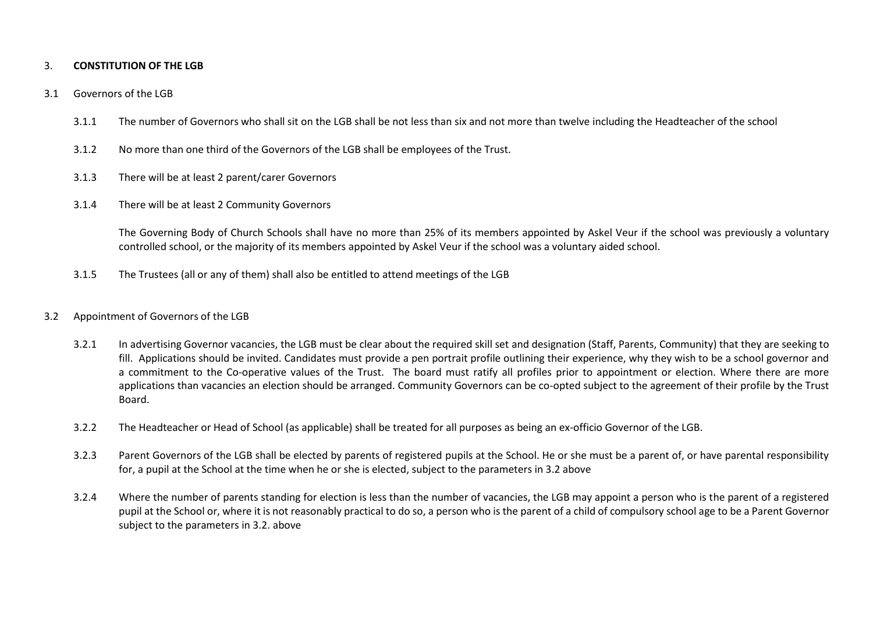## 3. **CONSTITUTION OF THE LGB**

#### 3.1 Governors of the LGB

- 3.1.1 The number of Governors who shall sit on the LGB shall be not less than six and not more than twelve including the Headteacher of the school
- 3.1.2 No more than one third of the Governors of the LGB shall be employees of the Trust.
- 3.1.3 There will be at least 2 parent/carer Governors
- 3.1.4 There will be at least 2 Community Governors

The Governing Body of Church Schools shall have no more than 25% of its members appointed by Askel Veur if the school was previously a voluntary controlled school, or the majority of its members appointed by Askel Veur if the school was a voluntary aided school.

3.1.5 The Trustees (all or any of them) shall also be entitled to attend meetings of the LGB

## 3.2 Appointment of Governors of the LGB

- 3.2.1 In advertising Governor vacancies, the LGB must be clear about the required skill set and designation (Staff, Parents, Community) that they are seeking to fill. Applications should be invited. Candidates must provide a pen portrait profile outlining their experience, why they wish to be a school governor and a commitment to the Co-operative values of the Trust. The board must ratify all profiles prior to appointment or election. Where there are more applications than vacancies an election should be arranged. Community Governors can be co-opted subject to the agreement of their profile by the Trust Board.
- 3.2.2 The Headteacher or Head of School (as applicable) shall be treated for all purposes as being an ex-officio Governor of the LGB.
- 3.2.3 Parent Governors of the LGB shall be elected by parents of registered pupils at the School. He or she must be a parent of, or have parental responsibility for, a pupil at the School at the time when he or she is elected, subject to the parameters in 3.2 above
- 3.2.4 Where the number of parents standing for election is less than the number of vacancies, the LGB may appoint a person who is the parent of a registered pupil at the School or, where it is not reasonably practical to do so, a person who is the parent of a child of compulsory school age to be a Parent Governor subject to the parameters in 3.2. above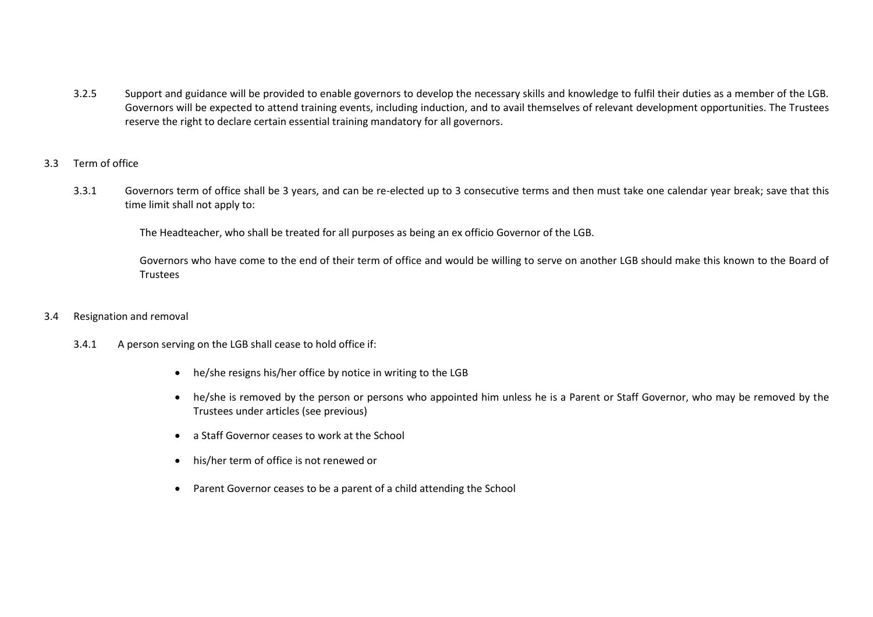- 3.2.5 Support and guidance will be provided to enable governors to develop the necessary skills and knowledge to fulfil their duties as a member of the LGB. Governors will be expected to attend training events, including induction, and to avail themselves of relevant development opportunities. The Trustees reserve the right to declare certain essential training mandatory for all governors.
- 3.3 Term of office
	- 3.3.1 Governors term of office shall be 3 years, and can be re-elected up to 3 consecutive terms and then must take one calendar year break; save that this time limit shall not apply to:

The Headteacher, who shall be treated for all purposes as being an ex officio Governor of the LGB.

 Governors who have come to the end of their term of office and would be willing to serve on another LGB should make this known to the Board of **Trustees** 

- 3.4 Resignation and removal
	- 3.4.1 A person serving on the LGB shall cease to hold office if:
		- he/she resigns his/her office by notice in writing to the LGB
		- he/she is removed by the person or persons who appointed him unless he is a Parent or Staff Governor, who may be removed by the Trustees under articles (see previous)
		- a Staff Governor ceases to work at the School
		- his/her term of office is not renewed or
		- Parent Governor ceases to be a parent of a child attending the School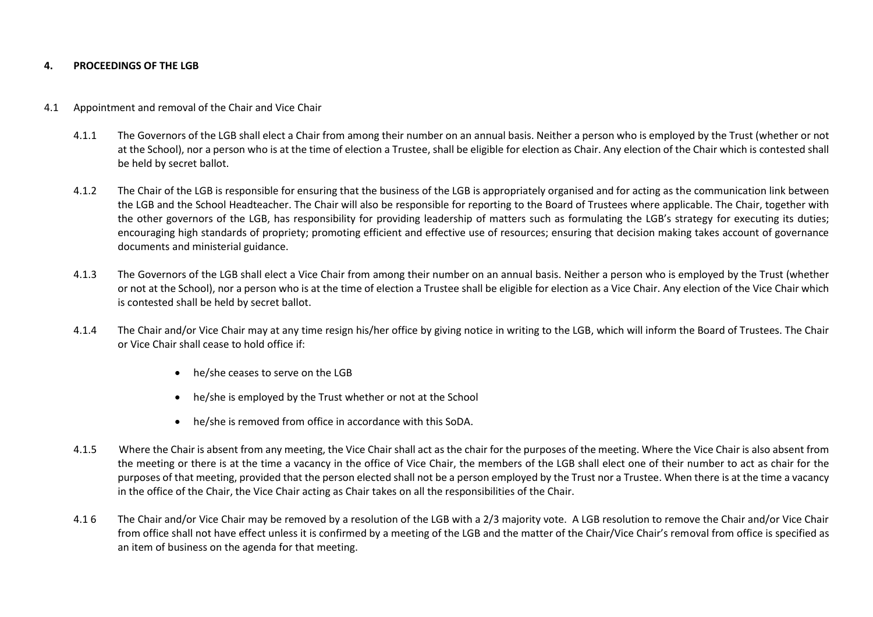#### **4. PROCEEDINGS OF THE LGB**

#### 4.1 Appointment and removal of the Chair and Vice Chair

- 4.1.1 The Governors of the LGB shall elect a Chair from among their number on an annual basis. Neither a person who is employed by the Trust (whether or not at the School), nor a person who is at the time of election a Trustee, shall be eligible for election as Chair. Any election of the Chair which is contested shall be held by secret ballot.
- 4.1.2 The Chair of the LGB is responsible for ensuring that the business of the LGB is appropriately organised and for acting as the communication link between the LGB and the School Headteacher. The Chair will also be responsible for reporting to the Board of Trustees where applicable. The Chair, together with the other governors of the LGB, has responsibility for providing leadership of matters such as formulating the LGB's strategy for executing its duties; encouraging high standards of propriety; promoting efficient and effective use of resources; ensuring that decision making takes account of governance documents and ministerial guidance.
- 4.1.3 The Governors of the LGB shall elect a Vice Chair from among their number on an annual basis. Neither a person who is employed by the Trust (whether or not at the School), nor a person who is at the time of election a Trustee shall be eligible for election as a Vice Chair. Any election of the Vice Chair which is contested shall be held by secret ballot.
- 4.1.4 The Chair and/or Vice Chair may at any time resign his/her office by giving notice in writing to the LGB, which will inform the Board of Trustees. The Chair or Vice Chair shall cease to hold office if:
	- he/she ceases to serve on the LGB
	- he/she is employed by the Trust whether or not at the School
	- he/she is removed from office in accordance with this SoDA.
- 4.1.5 Where the Chair is absent from any meeting, the Vice Chair shall act as the chair for the purposes of the meeting. Where the Vice Chair is also absent from the meeting or there is at the time a vacancy in the office of Vice Chair, the members of the LGB shall elect one of their number to act as chair for the purposes of that meeting, provided that the person elected shall not be a person employed by the Trust nor a Trustee. When there is at the time a vacancy in the office of the Chair, the Vice Chair acting as Chair takes on all the responsibilities of the Chair.
- 4.1 6 The Chair and/or Vice Chair may be removed by a resolution of the LGB with a 2/3 majority vote. A LGB resolution to remove the Chair and/or Vice Chair from office shall not have effect unless it is confirmed by a meeting of the LGB and the matter of the Chair/Vice Chair's removal from office is specified as an item of business on the agenda for that meeting.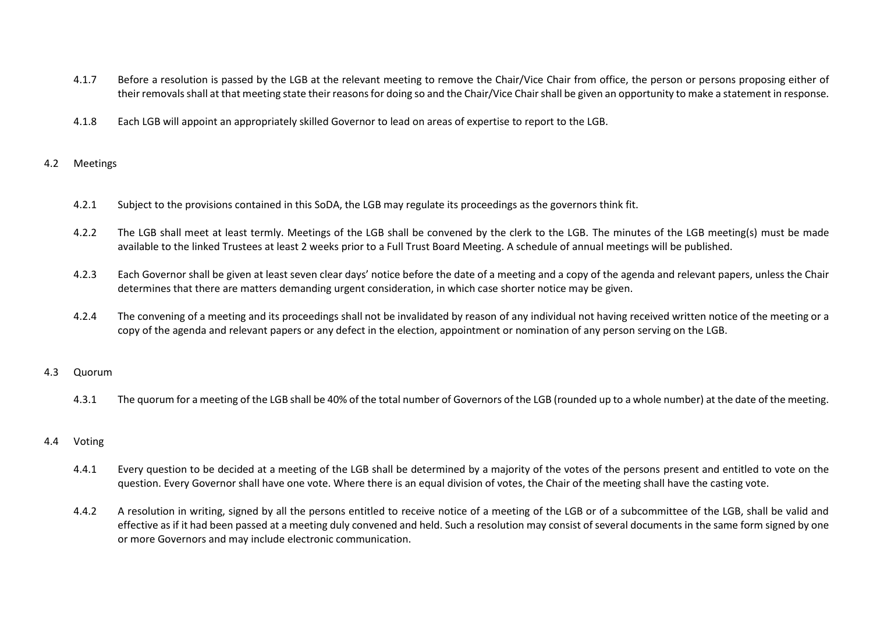- 4.1.7 Before a resolution is passed by the LGB at the relevant meeting to remove the Chair/Vice Chair from office, the person or persons proposing either of their removals shall at that meeting state their reasons for doing so and the Chair/Vice Chair shall be given an opportunity to make a statement in response.
- 4.1.8 Each LGB will appoint an appropriately skilled Governor to lead on areas of expertise to report to the LGB.

#### 4.2 Meetings

- 4.2.1 Subject to the provisions contained in this SoDA, the LGB may regulate its proceedings as the governors think fit.
- 4.2.2 The LGB shall meet at least termly. Meetings of the LGB shall be convened by the clerk to the LGB. The minutes of the LGB meeting(s) must be made available to the linked Trustees at least 2 weeks prior to a Full Trust Board Meeting. A schedule of annual meetings will be published.
- 4.2.3 Each Governor shall be given at least seven clear days' notice before the date of a meeting and a copy of the agenda and relevant papers, unless the Chair determines that there are matters demanding urgent consideration, in which case shorter notice may be given.
- 4.2.4 The convening of a meeting and its proceedings shall not be invalidated by reason of any individual not having received written notice of the meeting or a copy of the agenda and relevant papers or any defect in the election, appointment or nomination of any person serving on the LGB.

#### 4.3 Quorum

4.3.1 The quorum for a meeting of the LGB shall be 40% of the total number of Governors of the LGB (rounded up to a whole number) at the date of the meeting.

#### 4.4 Voting

- 4.4.1 Every question to be decided at a meeting of the LGB shall be determined by a majority of the votes of the persons present and entitled to vote on the question. Every Governor shall have one vote. Where there is an equal division of votes, the Chair of the meeting shall have the casting vote.
- 4.4.2 A resolution in writing, signed by all the persons entitled to receive notice of a meeting of the LGB or of a subcommittee of the LGB, shall be valid and effective as if it had been passed at a meeting duly convened and held. Such a resolution may consist of several documents in the same form signed by one or more Governors and may include electronic communication.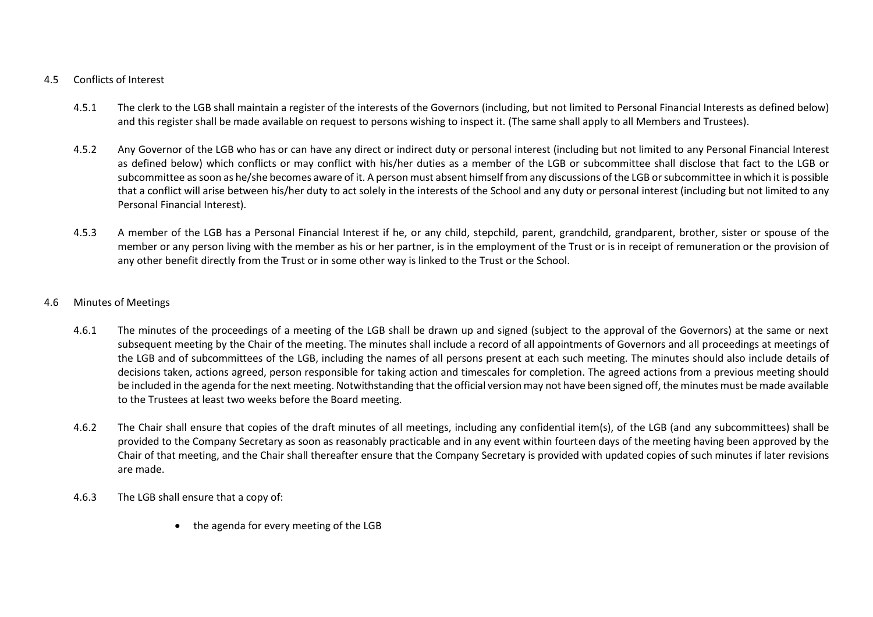# 4.5 Conflicts of Interest

- 4.5.1 The clerk to the LGB shall maintain a register of the interests of the Governors (including, but not limited to Personal Financial Interests as defined below) and this register shall be made available on request to persons wishing to inspect it. (The same shall apply to all Members and Trustees).
- 4.5.2 Any Governor of the LGB who has or can have any direct or indirect duty or personal interest (including but not limited to any Personal Financial Interest as defined below) which conflicts or may conflict with his/her duties as a member of the LGB or subcommittee shall disclose that fact to the LGB or subcommittee as soon as he/she becomes aware of it. A person must absent himself from any discussions of the LGB or subcommittee in which it is possible that a conflict will arise between his/her duty to act solely in the interests of the School and any duty or personal interest (including but not limited to any Personal Financial Interest).
- 4.5.3 A member of the LGB has a Personal Financial Interest if he, or any child, stepchild, parent, grandchild, grandparent, brother, sister or spouse of the member or any person living with the member as his or her partner, is in the employment of the Trust or is in receipt of remuneration or the provision of any other benefit directly from the Trust or in some other way is linked to the Trust or the School.

# 4.6 Minutes of Meetings

- 4.6.1 The minutes of the proceedings of a meeting of the LGB shall be drawn up and signed (subject to the approval of the Governors) at the same or next subsequent meeting by the Chair of the meeting. The minutes shall include a record of all appointments of Governors and all proceedings at meetings of the LGB and of subcommittees of the LGB, including the names of all persons present at each such meeting. The minutes should also include details of decisions taken, actions agreed, person responsible for taking action and timescales for completion. The agreed actions from a previous meeting should be included in the agenda for the next meeting. Notwithstanding that the official version may not have been signed off, the minutes must be made available to the Trustees at least two weeks before the Board meeting.
- 4.6.2 The Chair shall ensure that copies of the draft minutes of all meetings, including any confidential item(s), of the LGB (and any subcommittees) shall be provided to the Company Secretary as soon as reasonably practicable and in any event within fourteen days of the meeting having been approved by the Chair of that meeting, and the Chair shall thereafter ensure that the Company Secretary is provided with updated copies of such minutes if later revisions are made.
- 4.6.3 The LGB shall ensure that a copy of:
	- the agenda for every meeting of the LGB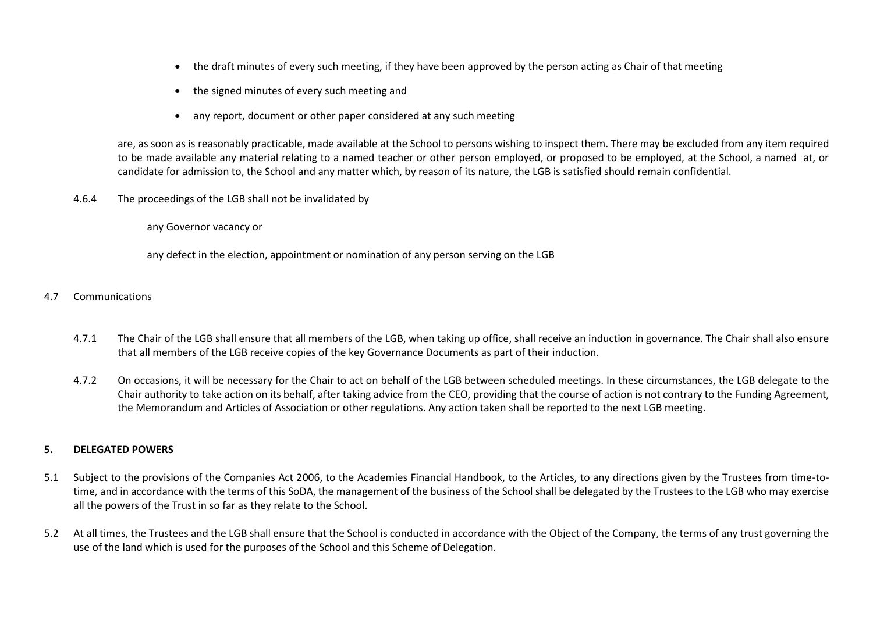- the draft minutes of every such meeting, if they have been approved by the person acting as Chair of that meeting
- the signed minutes of every such meeting and
- any report, document or other paper considered at any such meeting

are, as soon as is reasonably practicable, made available at the School to persons wishing to inspect them. There may be excluded from any item required to be made available any material relating to a named teacher or other person employed, or proposed to be employed, at the School, a named at, or candidate for admission to, the School and any matter which, by reason of its nature, the LGB is satisfied should remain confidential.

4.6.4 The proceedings of the LGB shall not be invalidated by

any Governor vacancy or

any defect in the election, appointment or nomination of any person serving on the LGB

- 4.7 Communications
	- 4.7.1 The Chair of the LGB shall ensure that all members of the LGB, when taking up office, shall receive an induction in governance. The Chair shall also ensure that all members of the LGB receive copies of the key Governance Documents as part of their induction.
	- 4.7.2 On occasions, it will be necessary for the Chair to act on behalf of the LGB between scheduled meetings. In these circumstances, the LGB delegate to the Chair authority to take action on its behalf, after taking advice from the CEO, providing that the course of action is not contrary to the Funding Agreement, the Memorandum and Articles of Association or other regulations. Any action taken shall be reported to the next LGB meeting.

#### **5. DELEGATED POWERS**

- 5.1 Subject to the provisions of the Companies Act 2006, to the Academies Financial Handbook, to the Articles, to any directions given by the Trustees from time-totime, and in accordance with the terms of this SoDA, the management of the business of the School shall be delegated by the Trustees to the LGB who may exercise all the powers of the Trust in so far as they relate to the School.
- 5.2 At all times, the Trustees and the LGB shall ensure that the School is conducted in accordance with the Object of the Company, the terms of any trust governing the use of the land which is used for the purposes of the School and this Scheme of Delegation.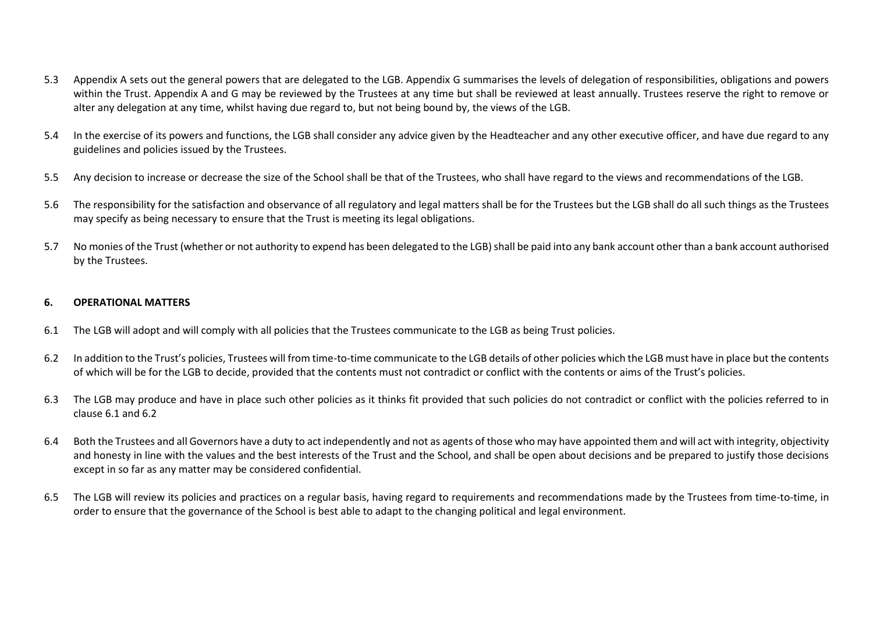- 5.3 Appendix A sets out the general powers that are delegated to the LGB. Appendix G summarises the levels of delegation of responsibilities, obligations and powers within the Trust. Appendix A and G may be reviewed by the Trustees at any time but shall be reviewed at least annually. Trustees reserve the right to remove or alter any delegation at any time, whilst having due regard to, but not being bound by, the views of the LGB.
- 5.4 In the exercise of its powers and functions, the LGB shall consider any advice given by the Headteacher and any other executive officer, and have due regard to any guidelines and policies issued by the Trustees.
- 5.5 Any decision to increase or decrease the size of the School shall be that of the Trustees, who shall have regard to the views and recommendations of the LGB.
- 5.6 The responsibility for the satisfaction and observance of all regulatory and legal matters shall be for the Trustees but the LGB shall do all such things as the Trustees may specify as being necessary to ensure that the Trust is meeting its legal obligations.
- 5.7 No monies of the Trust (whether or not authority to expend has been delegated to the LGB) shall be paid into any bank account other than a bank account authorised by the Trustees.

# **6. OPERATIONAL MATTERS**

- 6.1 The LGB will adopt and will comply with all policies that the Trustees communicate to the LGB as being Trust policies.
- 6.2 In addition to the Trust's policies, Trustees will from time-to-time communicate to the LGB details of other policies which the LGB must have in place but the contents of which will be for the LGB to decide, provided that the contents must not contradict or conflict with the contents or aims of the Trust's policies.
- 6.3 The LGB may produce and have in place such other policies as it thinks fit provided that such policies do not contradict or conflict with the policies referred to in clause 6.1 and 6.2
- 6.4 Both the Trustees and all Governors have a duty to act independently and not as agents of those who may have appointed them and will act with integrity, objectivity and honesty in line with the values and the best interests of the Trust and the School, and shall be open about decisions and be prepared to justify those decisions except in so far as any matter may be considered confidential.
- 6.5 The LGB will review its policies and practices on a regular basis, having regard to requirements and recommendations made by the Trustees from time-to-time, in order to ensure that the governance of the School is best able to adapt to the changing political and legal environment.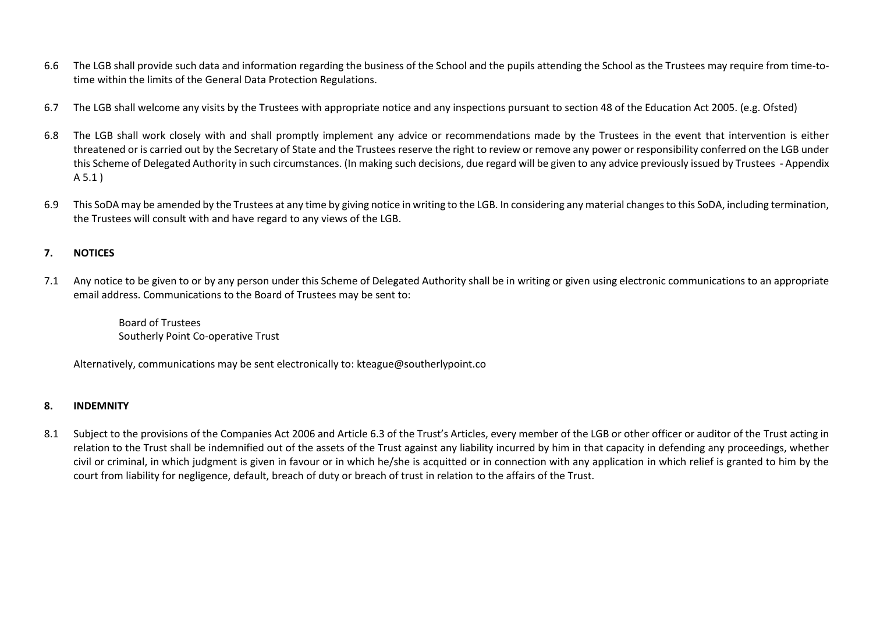- 6.6 The LGB shall provide such data and information regarding the business of the School and the pupils attending the School as the Trustees may require from time-totime within the limits of the General Data Protection Regulations.
- 6.7 The LGB shall welcome any visits by the Trustees with appropriate notice and any inspections pursuant to section 48 of the Education Act 2005. (e.g. Ofsted)
- 6.8 The LGB shall work closely with and shall promptly implement any advice or recommendations made by the Trustees in the event that intervention is either threatened or is carried out by the Secretary of State and the Trustees reserve the right to review or remove any power or responsibility conferred on the LGB under this Scheme of Delegated Authority in such circumstances. (In making such decisions, due regard will be given to any advice previously issued by Trustees - Appendix A 5.1 )
- 6.9 This SoDA may be amended by the Trustees at any time by giving notice in writing to the LGB. In considering any material changes to this SoDA, including termination, the Trustees will consult with and have regard to any views of the LGB.

# **7. NOTICES**

7.1 Any notice to be given to or by any person under this Scheme of Delegated Authority shall be in writing or given using electronic communications to an appropriate email address. Communications to the Board of Trustees may be sent to:

Board of Trustees Southerly Point Co-operative Trust

Alternatively, communications may be sent electronically to: kteague@southerlypoint.co

# **8. INDEMNITY**

8.1 Subject to the provisions of the Companies Act 2006 and Article 6.3 of the Trust's Articles, every member of the LGB or other officer or auditor of the Trust acting in relation to the Trust shall be indemnified out of the assets of the Trust against any liability incurred by him in that capacity in defending any proceedings, whether civil or criminal, in which judgment is given in favour or in which he/she is acquitted or in connection with any application in which relief is granted to him by the court from liability for negligence, default, breach of duty or breach of trust in relation to the affairs of the Trust.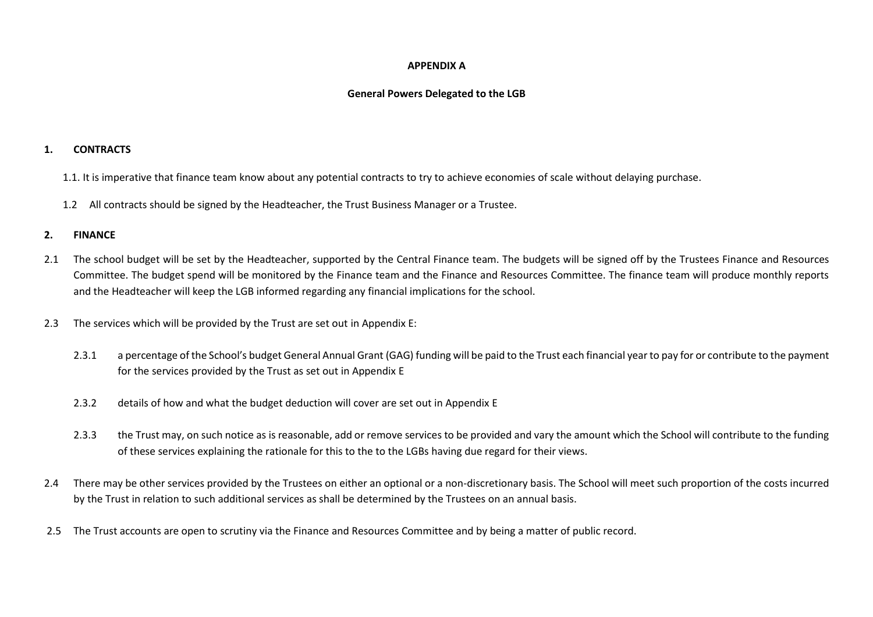## **APPENDIX A**

# **General Powers Delegated to the LGB**

#### **1. CONTRACTS**

- 1.1. It is imperative that finance team know about any potential contracts to try to achieve economies of scale without delaying purchase.
- 1.2 All contracts should be signed by the Headteacher, the Trust Business Manager or a Trustee.

# **2. FINANCE**

- 2.1 The school budget will be set by the Headteacher, supported by the Central Finance team. The budgets will be signed off by the Trustees Finance and Resources Committee. The budget spend will be monitored by the Finance team and the Finance and Resources Committee. The finance team will produce monthly reports and the Headteacher will keep the LGB informed regarding any financial implications for the school.
- 2.3 The services which will be provided by the Trust are set out in Appendix E:
	- 2.3.1 a percentage of the School's budget General Annual Grant (GAG) funding will be paid to the Trust each financial year to pay for or contribute to the payment for the services provided by the Trust as set out in Appendix E
	- 2.3.2 details of how and what the budget deduction will cover are set out in Appendix E
	- 2.3.3 the Trust may, on such notice as is reasonable, add or remove services to be provided and vary the amount which the School will contribute to the funding of these services explaining the rationale for this to the to the LGBs having due regard for their views.
- 2.4 There may be other services provided by the Trustees on either an optional or a non-discretionary basis. The School will meet such proportion of the costs incurred by the Trust in relation to such additional services as shall be determined by the Trustees on an annual basis.
- 2.5 The Trust accounts are open to scrutiny via the Finance and Resources Committee and by being a matter of public record.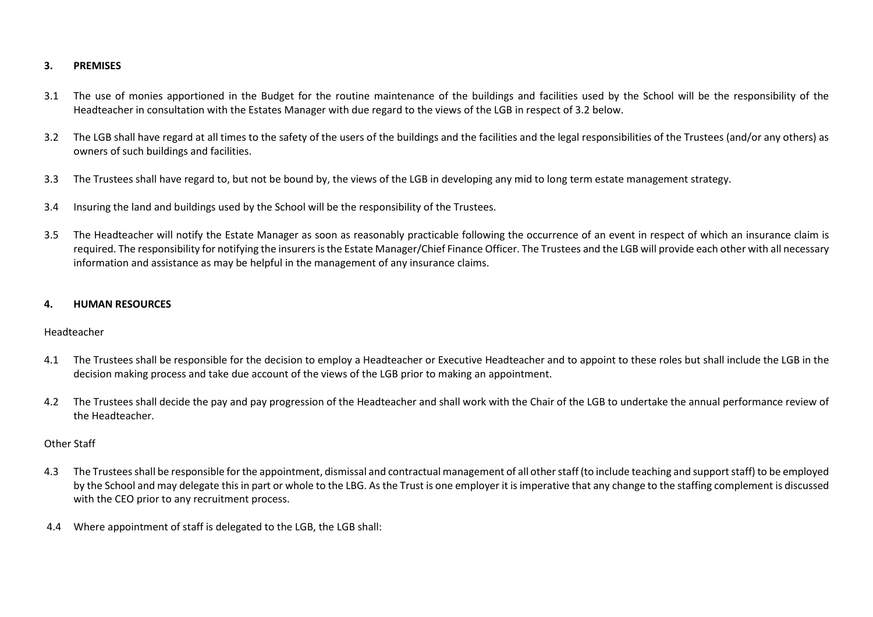# **3. PREMISES**

- 3.1 The use of monies apportioned in the Budget for the routine maintenance of the buildings and facilities used by the School will be the responsibility of the Headteacher in consultation with the Estates Manager with due regard to the views of the LGB in respect of 3.2 below.
- 3.2 The LGB shall have regard at all times to the safety of the users of the buildings and the facilities and the legal responsibilities of the Trustees (and/or any others) as owners of such buildings and facilities.
- 3.3 The Trustees shall have regard to, but not be bound by, the views of the LGB in developing any mid to long term estate management strategy.
- 3.4 Insuring the land and buildings used by the School will be the responsibility of the Trustees.
- 3.5 The Headteacher will notify the Estate Manager as soon as reasonably practicable following the occurrence of an event in respect of which an insurance claim is required. The responsibility for notifying the insurers is the Estate Manager/Chief Finance Officer. The Trustees and the LGB will provide each other with all necessary information and assistance as may be helpful in the management of any insurance claims.

#### **4. HUMAN RESOURCES**

#### Headteacher

- 4.1 The Trustees shall be responsible for the decision to employ a Headteacher or Executive Headteacher and to appoint to these roles but shall include the LGB in the decision making process and take due account of the views of the LGB prior to making an appointment.
- 4.2 The Trustees shall decide the pay and pay progression of the Headteacher and shall work with the Chair of the LGB to undertake the annual performance review of the Headteacher.

#### Other Staff

- 4.3 The Trustees shall be responsible for the appointment, dismissal and contractual management of all other staff (to include teaching and support staff) to be employed by the School and may delegate this in part or whole to the LBG. As the Trust is one employer it is imperative that any change to the staffing complement is discussed with the CEO prior to any recruitment process.
- 4.4 Where appointment of staff is delegated to the LGB, the LGB shall: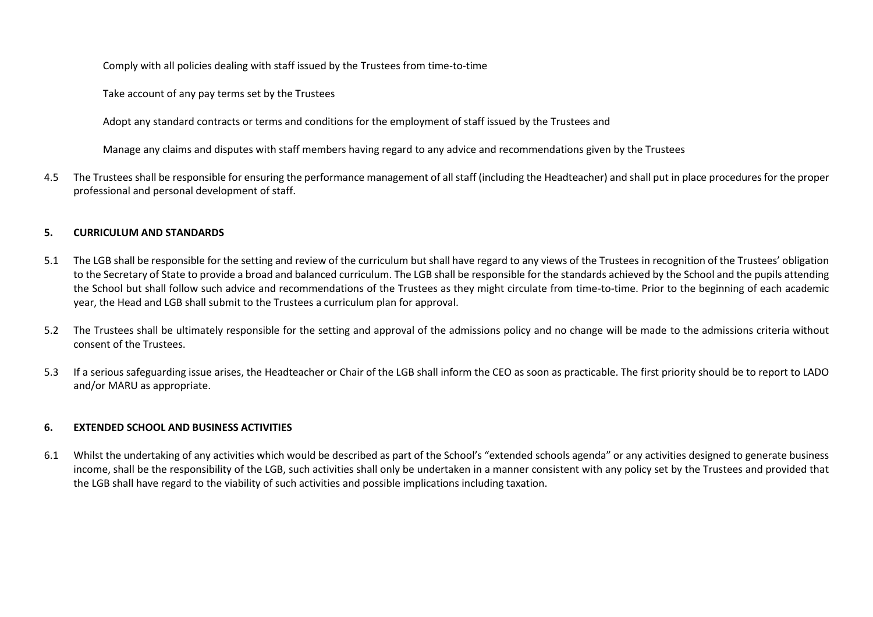Comply with all policies dealing with staff issued by the Trustees from time-to-time

Take account of any pay terms set by the Trustees

Adopt any standard contracts or terms and conditions for the employment of staff issued by the Trustees and

Manage any claims and disputes with staff members having regard to any advice and recommendations given by the Trustees

4.5 The Trustees shall be responsible for ensuring the performance management of all staff (including the Headteacher) and shall put in place procedures for the proper professional and personal development of staff.

## **5. CURRICULUM AND STANDARDS**

- 5.1 The LGB shall be responsible for the setting and review of the curriculum but shall have regard to any views of the Trustees in recognition of the Trustees' obligation to the Secretary of State to provide a broad and balanced curriculum. The LGB shall be responsible for the standards achieved by the School and the pupils attending the School but shall follow such advice and recommendations of the Trustees as they might circulate from time-to-time. Prior to the beginning of each academic year, the Head and LGB shall submit to the Trustees a curriculum plan for approval.
- 5.2 The Trustees shall be ultimately responsible for the setting and approval of the admissions policy and no change will be made to the admissions criteria without consent of the Trustees.
- 5.3 If a serious safeguarding issue arises, the Headteacher or Chair of the LGB shall inform the CEO as soon as practicable. The first priority should be to report to LADO and/or MARU as appropriate.

# **6. EXTENDED SCHOOL AND BUSINESS ACTIVITIES**

6.1 Whilst the undertaking of any activities which would be described as part of the School's "extended schools agenda" or any activities designed to generate business income, shall be the responsibility of the LGB, such activities shall only be undertaken in a manner consistent with any policy set by the Trustees and provided that the LGB shall have regard to the viability of such activities and possible implications including taxation.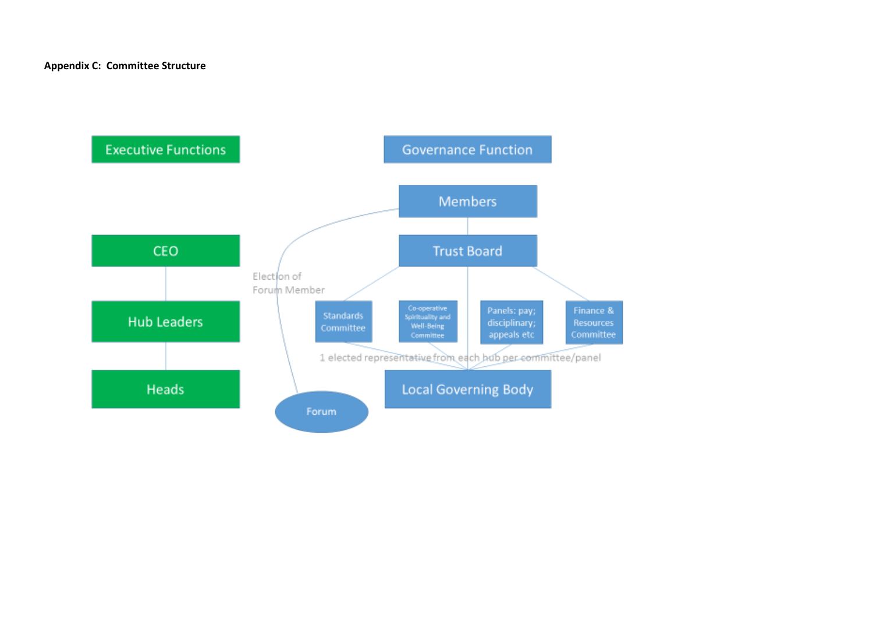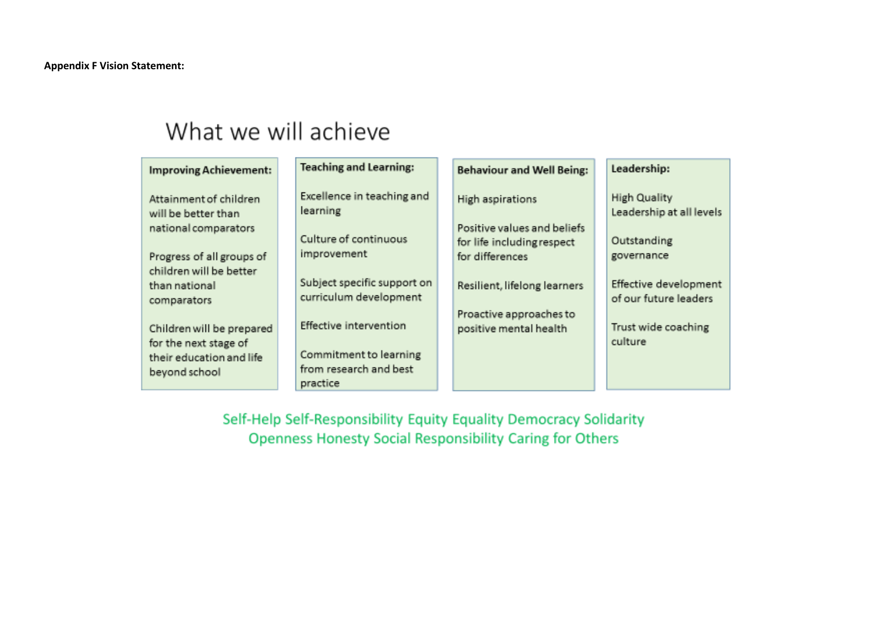# What we will achieve

| <b>Improving Achievement:</b>                                                                   | <b>Teaching and Learning:</b>                                                          | <b>Behaviour and Well Being:</b>                  | Leadership:                                                    |
|-------------------------------------------------------------------------------------------------|----------------------------------------------------------------------------------------|---------------------------------------------------|----------------------------------------------------------------|
| Attainment of children<br>will be better than<br>national comparators                           | Excellence in teaching and<br>learning<br>Culture of continuous                        | High aspirations<br>Positive values and beliefs   | <b>High Quality</b><br>Leadership at all levels<br>Outstanding |
| Progress of all groups of<br>children will be better                                            | improvement                                                                            | for life including respect<br>for differences     | governance                                                     |
| than national<br>comparators                                                                    | Subject specific support on<br>curriculum development                                  | Resilient, lifelong learners                      | Effective development<br>of our future leaders                 |
| Children will be prepared<br>for the next stage of<br>their education and life<br>beyond school | Effective intervention<br>Commitment to learning<br>from research and best<br>practice | Proactive approaches to<br>positive mental health | Trust wide coaching<br>culture                                 |

Self-Help Self-Responsibility Equity Equality Democracy Solidarity Openness Honesty Social Responsibility Caring for Others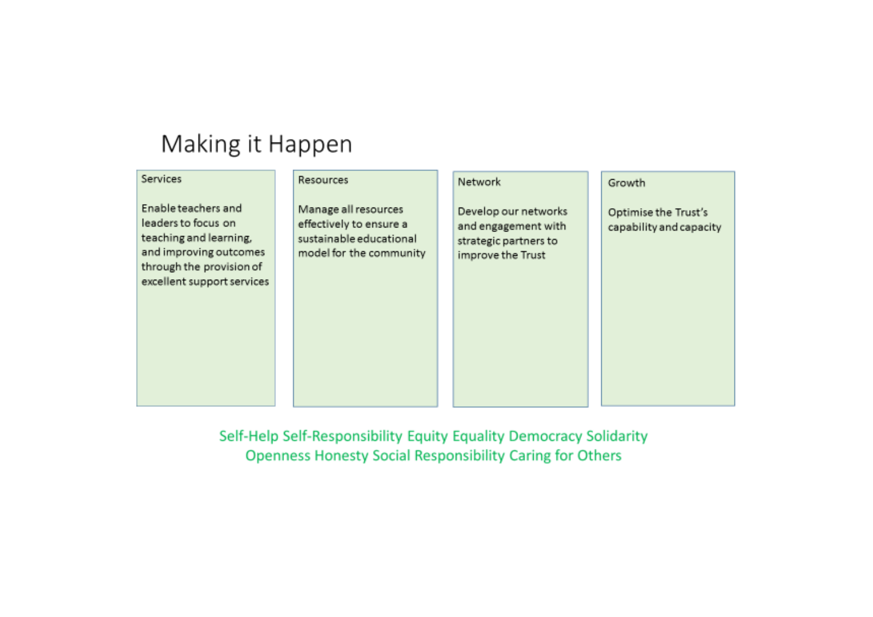# Making it Happen

| Services                                                                                                                                                 | Resources                                                                                             | Network                                                                                   | Growth                                          |
|----------------------------------------------------------------------------------------------------------------------------------------------------------|-------------------------------------------------------------------------------------------------------|-------------------------------------------------------------------------------------------|-------------------------------------------------|
| Enable teachers and<br>leaders to focus on<br>teaching and learning,<br>and improving outcomes<br>through the provision of<br>excellent support services | Manage all resources<br>effectively to ensure a<br>sustainable educational<br>model for the community | Develop our networks<br>and engagement with<br>strategic partners to<br>improve the Trust | Optimise the Trust's<br>capability and capacity |

Self-Help Self-Responsibility Equity Equality Democracy Solidarity **Openness Honesty Social Responsibility Caring for Others**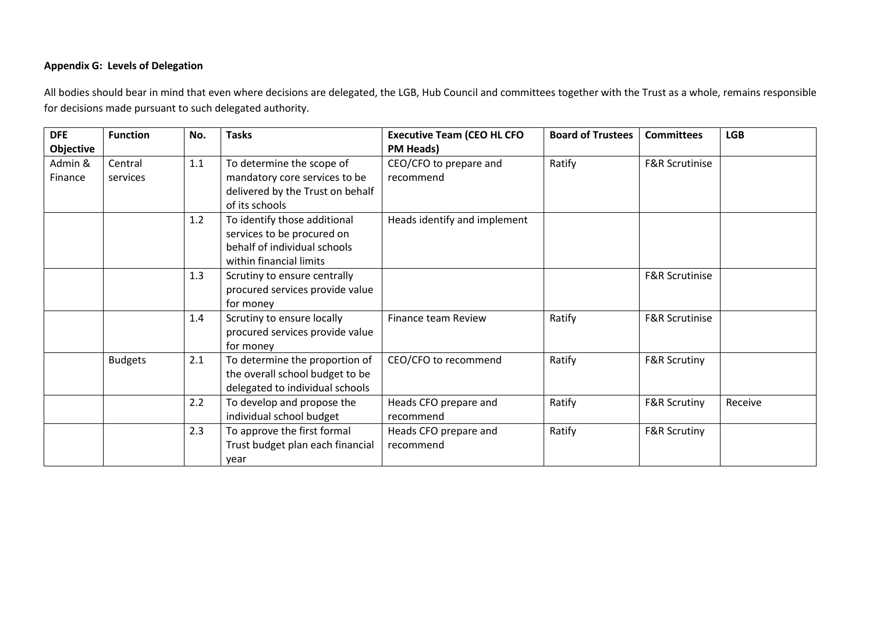# **Appendix G: Levels of Delegation**

All bodies should bear in mind that even where decisions are delegated, the LGB, Hub Council and committees together with the Trust as a whole, remains responsible for decisions made pursuant to such delegated authority.

| <b>DFE</b> | <b>Function</b> | No. | <b>Tasks</b>                     | <b>Executive Team (CEO HL CFO</b> | <b>Board of Trustees</b> | <b>Committees</b>         | <b>LGB</b> |
|------------|-----------------|-----|----------------------------------|-----------------------------------|--------------------------|---------------------------|------------|
| Objective  |                 |     |                                  | <b>PM Heads)</b>                  |                          |                           |            |
| Admin &    | Central         | 1.1 | To determine the scope of        | CEO/CFO to prepare and            | Ratify                   | <b>F&amp;R Scrutinise</b> |            |
| Finance    | services        |     | mandatory core services to be    | recommend                         |                          |                           |            |
|            |                 |     | delivered by the Trust on behalf |                                   |                          |                           |            |
|            |                 |     | of its schools                   |                                   |                          |                           |            |
|            |                 | 1.2 | To identify those additional     | Heads identify and implement      |                          |                           |            |
|            |                 |     | services to be procured on       |                                   |                          |                           |            |
|            |                 |     | behalf of individual schools     |                                   |                          |                           |            |
|            |                 |     | within financial limits          |                                   |                          |                           |            |
|            |                 | 1.3 | Scrutiny to ensure centrally     |                                   |                          | <b>F&amp;R Scrutinise</b> |            |
|            |                 |     | procured services provide value  |                                   |                          |                           |            |
|            |                 |     | for money                        |                                   |                          |                           |            |
|            |                 | 1.4 | Scrutiny to ensure locally       | Finance team Review               | Ratify                   | <b>F&amp;R Scrutinise</b> |            |
|            |                 |     | procured services provide value  |                                   |                          |                           |            |
|            |                 |     | for money                        |                                   |                          |                           |            |
|            | <b>Budgets</b>  | 2.1 | To determine the proportion of   | CEO/CFO to recommend              | Ratify                   | <b>F&amp;R Scrutiny</b>   |            |
|            |                 |     | the overall school budget to be  |                                   |                          |                           |            |
|            |                 |     | delegated to individual schools  |                                   |                          |                           |            |
|            |                 | 2.2 | To develop and propose the       | Heads CFO prepare and             | Ratify                   | <b>F&amp;R Scrutiny</b>   | Receive    |
|            |                 |     | individual school budget         | recommend                         |                          |                           |            |
|            |                 | 2.3 | To approve the first formal      | Heads CFO prepare and             | Ratify                   | <b>F&amp;R Scrutiny</b>   |            |
|            |                 |     | Trust budget plan each financial | recommend                         |                          |                           |            |
|            |                 |     | year                             |                                   |                          |                           |            |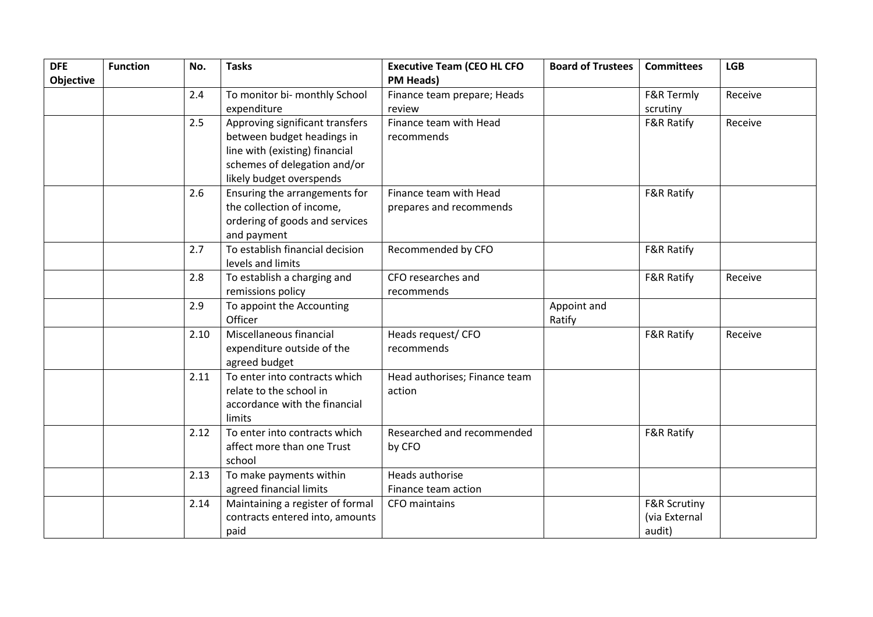| <b>DFE</b><br><b>Objective</b> | <b>Function</b> | No.  | <b>Tasks</b>                                                                                                                                                | <b>Executive Team (CEO HL CFO</b><br><b>PM Heads)</b> | <b>Board of Trustees</b> | <b>Committees</b>                                  | <b>LGB</b> |
|--------------------------------|-----------------|------|-------------------------------------------------------------------------------------------------------------------------------------------------------------|-------------------------------------------------------|--------------------------|----------------------------------------------------|------------|
|                                |                 | 2.4  | To monitor bi- monthly School<br>expenditure                                                                                                                | Finance team prepare; Heads<br>review                 |                          | F&R Termly<br>scrutiny                             | Receive    |
|                                |                 | 2.5  | Approving significant transfers<br>between budget headings in<br>line with (existing) financial<br>schemes of delegation and/or<br>likely budget overspends | Finance team with Head<br>recommends                  |                          | <b>F&amp;R Ratify</b>                              | Receive    |
|                                |                 | 2.6  | Ensuring the arrangements for<br>the collection of income,<br>ordering of goods and services<br>and payment                                                 | Finance team with Head<br>prepares and recommends     |                          | <b>F&amp;R Ratify</b>                              |            |
|                                |                 | 2.7  | To establish financial decision<br>levels and limits                                                                                                        | Recommended by CFO                                    |                          | <b>F&amp;R Ratify</b>                              |            |
|                                |                 | 2.8  | To establish a charging and<br>remissions policy                                                                                                            | CFO researches and<br>recommends                      |                          | <b>F&amp;R Ratify</b>                              | Receive    |
|                                |                 | 2.9  | To appoint the Accounting<br>Officer                                                                                                                        |                                                       | Appoint and<br>Ratify    |                                                    |            |
|                                |                 | 2.10 | Miscellaneous financial<br>expenditure outside of the<br>agreed budget                                                                                      | Heads request/ CFO<br>recommends                      |                          | <b>F&amp;R Ratify</b>                              | Receive    |
|                                |                 | 2.11 | To enter into contracts which<br>relate to the school in<br>accordance with the financial<br>limits                                                         | Head authorises; Finance team<br>action               |                          |                                                    |            |
|                                |                 | 2.12 | To enter into contracts which<br>affect more than one Trust<br>school                                                                                       | Researched and recommended<br>by CFO                  |                          | <b>F&amp;R Ratify</b>                              |            |
|                                |                 | 2.13 | To make payments within<br>agreed financial limits                                                                                                          | Heads authorise<br>Finance team action                |                          |                                                    |            |
|                                |                 | 2.14 | Maintaining a register of formal<br>contracts entered into, amounts<br>paid                                                                                 | CFO maintains                                         |                          | <b>F&amp;R Scrutiny</b><br>(via External<br>audit) |            |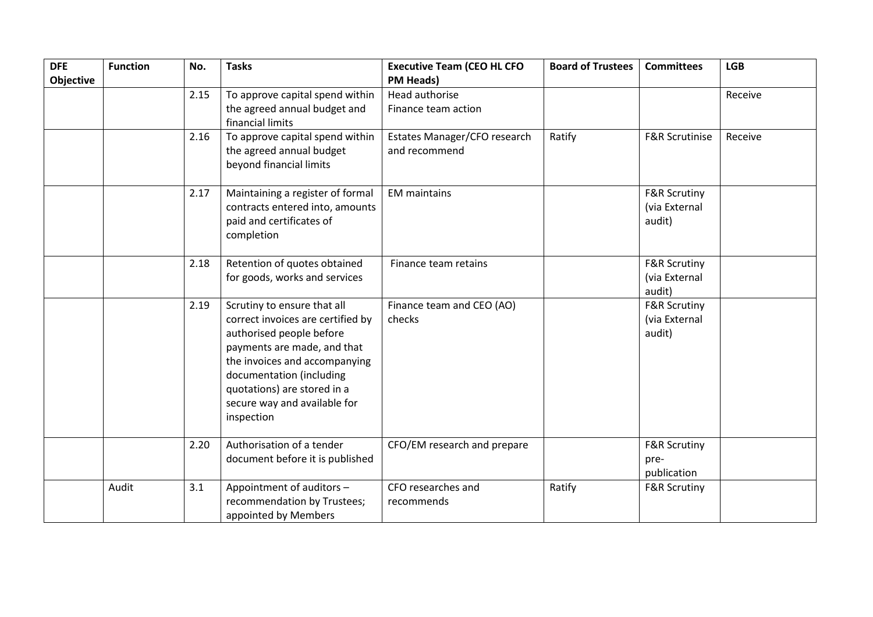| <b>DFE</b><br>Objective | <b>Function</b> | No.  | <b>Tasks</b>                                                                                                                                                                                                                                                          | <b>Executive Team (CEO HL CFO</b><br><b>PM Heads)</b> | <b>Board of Trustees</b> | <b>Committees</b>                                  | <b>LGB</b> |
|-------------------------|-----------------|------|-----------------------------------------------------------------------------------------------------------------------------------------------------------------------------------------------------------------------------------------------------------------------|-------------------------------------------------------|--------------------------|----------------------------------------------------|------------|
|                         |                 | 2.15 | To approve capital spend within<br>the agreed annual budget and<br>financial limits                                                                                                                                                                                   | Head authorise<br>Finance team action                 |                          |                                                    | Receive    |
|                         |                 | 2.16 | To approve capital spend within<br>the agreed annual budget<br>beyond financial limits                                                                                                                                                                                | Estates Manager/CFO research<br>and recommend         | Ratify                   | F&R Scrutinise                                     | Receive    |
|                         |                 | 2.17 | Maintaining a register of formal<br>contracts entered into, amounts<br>paid and certificates of<br>completion                                                                                                                                                         | <b>EM</b> maintains                                   |                          | <b>F&amp;R Scrutiny</b><br>(via External<br>audit) |            |
|                         |                 | 2.18 | Retention of quotes obtained<br>for goods, works and services                                                                                                                                                                                                         | Finance team retains                                  |                          | <b>F&amp;R Scrutiny</b><br>(via External<br>audit) |            |
|                         |                 | 2.19 | Scrutiny to ensure that all<br>correct invoices are certified by<br>authorised people before<br>payments are made, and that<br>the invoices and accompanying<br>documentation (including<br>quotations) are stored in a<br>secure way and available for<br>inspection | Finance team and CEO (AO)<br>checks                   |                          | <b>F&amp;R Scrutiny</b><br>(via External<br>audit) |            |
|                         |                 | 2.20 | Authorisation of a tender<br>document before it is published                                                                                                                                                                                                          | CFO/EM research and prepare                           |                          | <b>F&amp;R Scrutiny</b><br>pre-<br>publication     |            |
|                         | Audit           | 3.1  | Appointment of auditors -<br>recommendation by Trustees;<br>appointed by Members                                                                                                                                                                                      | CFO researches and<br>recommends                      | Ratify                   | <b>F&amp;R Scrutiny</b>                            |            |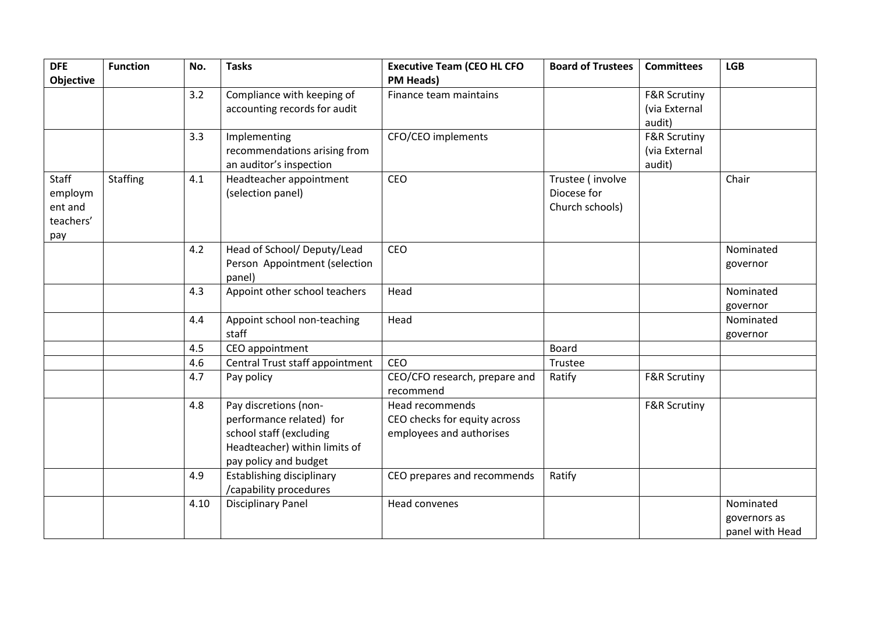| <b>DFE</b><br><b>Objective</b>                         | <b>Function</b> | No.  | <b>Tasks</b>                                                                                                                           | <b>Executive Team (CEO HL CFO</b><br><b>PM Heads)</b>                       | <b>Board of Trustees</b>                           | <b>Committees</b>                                  | <b>LGB</b>                                   |
|--------------------------------------------------------|-----------------|------|----------------------------------------------------------------------------------------------------------------------------------------|-----------------------------------------------------------------------------|----------------------------------------------------|----------------------------------------------------|----------------------------------------------|
|                                                        |                 | 3.2  | Compliance with keeping of<br>accounting records for audit                                                                             | Finance team maintains                                                      |                                                    | <b>F&amp;R Scrutiny</b><br>(via External<br>audit) |                                              |
|                                                        |                 | 3.3  | Implementing<br>recommendations arising from<br>an auditor's inspection                                                                | CFO/CEO implements                                                          |                                                    | <b>F&amp;R Scrutiny</b><br>(via External<br>audit) |                                              |
| <b>Staff</b><br>employm<br>ent and<br>teachers'<br>pay | Staffing        | 4.1  | Headteacher appointment<br>(selection panel)                                                                                           | CEO                                                                         | Trustee (involve<br>Diocese for<br>Church schools) |                                                    | Chair                                        |
|                                                        |                 | 4.2  | Head of School/ Deputy/Lead<br>Person Appointment (selection<br>panel)                                                                 | CEO                                                                         |                                                    |                                                    | Nominated<br>governor                        |
|                                                        |                 | 4.3  | Appoint other school teachers                                                                                                          | Head                                                                        |                                                    |                                                    | Nominated<br>governor                        |
|                                                        |                 | 4.4  | Appoint school non-teaching<br>staff                                                                                                   | Head                                                                        |                                                    |                                                    | Nominated<br>governor                        |
|                                                        |                 | 4.5  | CEO appointment                                                                                                                        |                                                                             | Board                                              |                                                    |                                              |
|                                                        |                 | 4.6  | Central Trust staff appointment                                                                                                        | CEO                                                                         | Trustee                                            |                                                    |                                              |
|                                                        |                 | 4.7  | Pay policy                                                                                                                             | CEO/CFO research, prepare and<br>recommend                                  | Ratify                                             | <b>F&amp;R Scrutiny</b>                            |                                              |
|                                                        |                 | 4.8  | Pay discretions (non-<br>performance related) for<br>school staff (excluding<br>Headteacher) within limits of<br>pay policy and budget | Head recommends<br>CEO checks for equity across<br>employees and authorises |                                                    | <b>F&amp;R Scrutiny</b>                            |                                              |
|                                                        |                 | 4.9  | <b>Establishing disciplinary</b><br>/capability procedures                                                                             | CEO prepares and recommends                                                 | Ratify                                             |                                                    |                                              |
|                                                        |                 | 4.10 | <b>Disciplinary Panel</b>                                                                                                              | Head convenes                                                               |                                                    |                                                    | Nominated<br>governors as<br>panel with Head |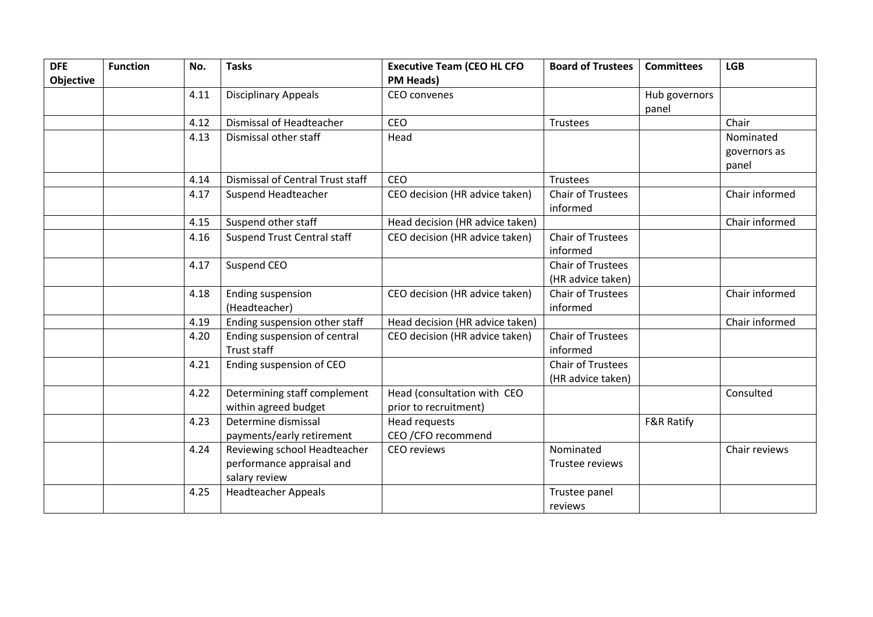| <b>DFE</b> | <b>Function</b> | No.  | <b>Tasks</b>                                                               | <b>Executive Team (CEO HL CFO</b>                    | <b>Board of Trustees</b>                      | <b>Committees</b>      | <b>LGB</b>                         |
|------------|-----------------|------|----------------------------------------------------------------------------|------------------------------------------------------|-----------------------------------------------|------------------------|------------------------------------|
| Objective  |                 |      |                                                                            | <b>PM Heads)</b>                                     |                                               |                        |                                    |
|            |                 | 4.11 | <b>Disciplinary Appeals</b>                                                | CEO convenes                                         |                                               | Hub governors<br>panel |                                    |
|            |                 | 4.12 | <b>Dismissal of Headteacher</b>                                            | <b>CEO</b>                                           | <b>Trustees</b>                               |                        | Chair                              |
|            |                 | 4.13 | Dismissal other staff                                                      | Head                                                 |                                               |                        | Nominated<br>governors as<br>panel |
|            |                 | 4.14 | Dismissal of Central Trust staff                                           | <b>CEO</b>                                           | Trustees                                      |                        |                                    |
|            |                 | 4.17 | Suspend Headteacher                                                        | CEO decision (HR advice taken)                       | <b>Chair of Trustees</b><br>informed          |                        | Chair informed                     |
|            |                 | 4.15 | Suspend other staff                                                        | Head decision (HR advice taken)                      |                                               |                        | Chair informed                     |
|            |                 | 4.16 | <b>Suspend Trust Central staff</b>                                         | CEO decision (HR advice taken)                       | <b>Chair of Trustees</b><br>informed          |                        |                                    |
|            |                 | 4.17 | Suspend CEO                                                                |                                                      | <b>Chair of Trustees</b><br>(HR advice taken) |                        |                                    |
|            |                 | 4.18 | <b>Ending suspension</b><br>(Headteacher)                                  | CEO decision (HR advice taken)                       | <b>Chair of Trustees</b><br>informed          |                        | Chair informed                     |
|            |                 | 4.19 | Ending suspension other staff                                              | Head decision (HR advice taken)                      |                                               |                        | Chair informed                     |
|            |                 | 4.20 | Ending suspension of central<br><b>Trust staff</b>                         | CEO decision (HR advice taken)                       | <b>Chair of Trustees</b><br>informed          |                        |                                    |
|            |                 | 4.21 | Ending suspension of CEO                                                   |                                                      | <b>Chair of Trustees</b><br>(HR advice taken) |                        |                                    |
|            |                 | 4.22 | Determining staff complement<br>within agreed budget                       | Head (consultation with CEO<br>prior to recruitment) |                                               |                        | Consulted                          |
|            |                 | 4.23 | Determine dismissal<br>payments/early retirement                           | Head requests<br>CEO / CFO recommend                 |                                               | <b>F&amp;R Ratify</b>  |                                    |
|            |                 | 4.24 | Reviewing school Headteacher<br>performance appraisal and<br>salary review | <b>CEO</b> reviews                                   | Nominated<br>Trustee reviews                  |                        | Chair reviews                      |
|            |                 | 4.25 | <b>Headteacher Appeals</b>                                                 |                                                      | Trustee panel<br>reviews                      |                        |                                    |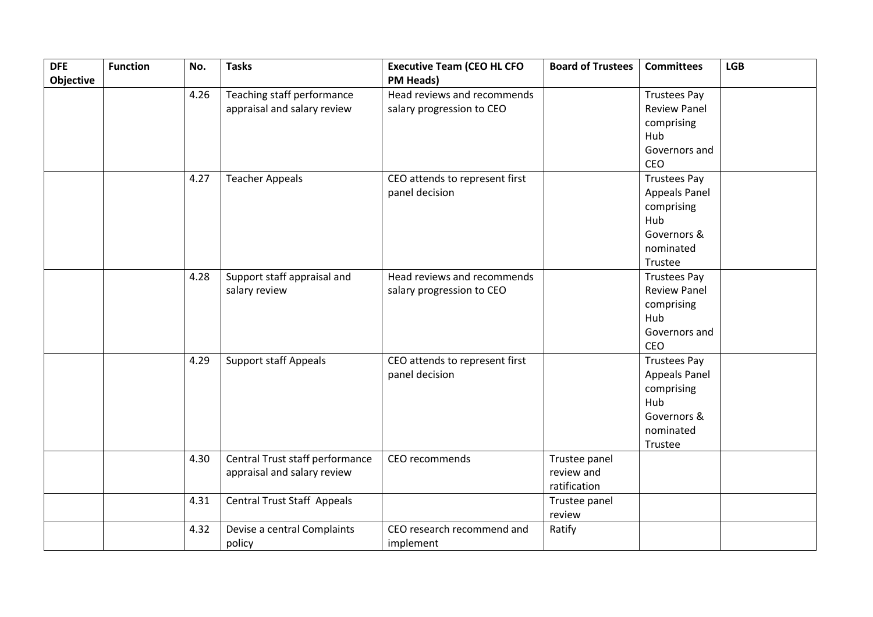| <b>DFE</b>       | <b>Function</b> | No.  | <b>Tasks</b>                       | <b>Executive Team (CEO HL CFO</b> | <b>Board of Trustees</b> | <b>Committees</b>    | <b>LGB</b> |
|------------------|-----------------|------|------------------------------------|-----------------------------------|--------------------------|----------------------|------------|
| <b>Objective</b> |                 |      |                                    | <b>PM Heads)</b>                  |                          |                      |            |
|                  |                 | 4.26 | Teaching staff performance         | Head reviews and recommends       |                          | <b>Trustees Pay</b>  |            |
|                  |                 |      | appraisal and salary review        | salary progression to CEO         |                          | <b>Review Panel</b>  |            |
|                  |                 |      |                                    |                                   |                          | comprising           |            |
|                  |                 |      |                                    |                                   |                          | Hub                  |            |
|                  |                 |      |                                    |                                   |                          | Governors and        |            |
|                  |                 |      |                                    |                                   |                          | CEO                  |            |
|                  |                 | 4.27 | <b>Teacher Appeals</b>             | CEO attends to represent first    |                          | <b>Trustees Pay</b>  |            |
|                  |                 |      |                                    | panel decision                    |                          | <b>Appeals Panel</b> |            |
|                  |                 |      |                                    |                                   |                          | comprising           |            |
|                  |                 |      |                                    |                                   |                          | Hub                  |            |
|                  |                 |      |                                    |                                   |                          | Governors &          |            |
|                  |                 |      |                                    |                                   |                          | nominated            |            |
|                  |                 |      |                                    |                                   |                          | Trustee              |            |
|                  |                 | 4.28 | Support staff appraisal and        | Head reviews and recommends       |                          | <b>Trustees Pay</b>  |            |
|                  |                 |      | salary review                      | salary progression to CEO         |                          | <b>Review Panel</b>  |            |
|                  |                 |      |                                    |                                   |                          | comprising           |            |
|                  |                 |      |                                    |                                   |                          | Hub                  |            |
|                  |                 |      |                                    |                                   |                          | Governors and        |            |
|                  |                 |      |                                    |                                   |                          | CEO                  |            |
|                  |                 | 4.29 | <b>Support staff Appeals</b>       | CEO attends to represent first    |                          | <b>Trustees Pay</b>  |            |
|                  |                 |      |                                    | panel decision                    |                          | Appeals Panel        |            |
|                  |                 |      |                                    |                                   |                          | comprising           |            |
|                  |                 |      |                                    |                                   |                          | Hub                  |            |
|                  |                 |      |                                    |                                   |                          | Governors &          |            |
|                  |                 |      |                                    |                                   |                          | nominated            |            |
|                  |                 |      |                                    |                                   |                          | Trustee              |            |
|                  |                 | 4.30 | Central Trust staff performance    | CEO recommends                    | Trustee panel            |                      |            |
|                  |                 |      | appraisal and salary review        |                                   | review and               |                      |            |
|                  |                 |      |                                    |                                   | ratification             |                      |            |
|                  |                 | 4.31 | <b>Central Trust Staff Appeals</b> |                                   | Trustee panel            |                      |            |
|                  |                 |      |                                    |                                   | review                   |                      |            |
|                  |                 | 4.32 | Devise a central Complaints        | CEO research recommend and        | Ratify                   |                      |            |
|                  |                 |      | policy                             | implement                         |                          |                      |            |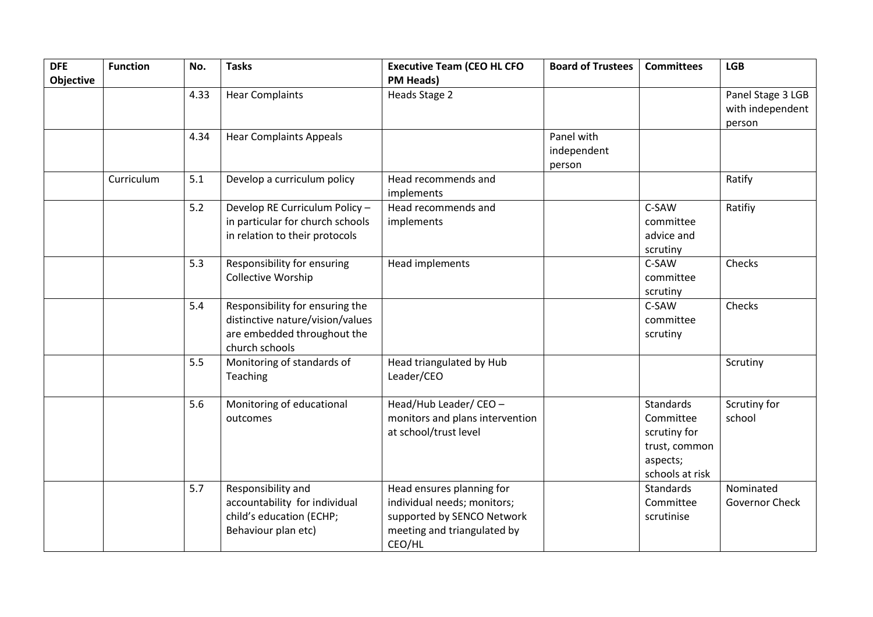| <b>DFE</b>       | <b>Function</b> | No.  | <b>Tasks</b>                     | <b>Executive Team (CEO HL CFO</b> | <b>Board of Trustees</b> | <b>Committees</b> | <b>LGB</b>        |
|------------------|-----------------|------|----------------------------------|-----------------------------------|--------------------------|-------------------|-------------------|
| <b>Objective</b> |                 |      |                                  | <b>PM Heads)</b>                  |                          |                   |                   |
|                  |                 | 4.33 | <b>Hear Complaints</b>           | Heads Stage 2                     |                          |                   | Panel Stage 3 LGB |
|                  |                 |      |                                  |                                   |                          |                   | with independent  |
|                  |                 |      |                                  |                                   |                          |                   | person            |
|                  |                 | 4.34 | <b>Hear Complaints Appeals</b>   |                                   | Panel with               |                   |                   |
|                  |                 |      |                                  |                                   | independent              |                   |                   |
|                  |                 |      |                                  |                                   | person                   |                   |                   |
|                  | Curriculum      | 5.1  | Develop a curriculum policy      | Head recommends and               |                          |                   | Ratify            |
|                  |                 |      |                                  | implements                        |                          |                   |                   |
|                  |                 | 5.2  | Develop RE Curriculum Policy -   | Head recommends and               |                          | C-SAW             | Ratifiy           |
|                  |                 |      | in particular for church schools | implements                        |                          | committee         |                   |
|                  |                 |      | in relation to their protocols   |                                   |                          | advice and        |                   |
|                  |                 |      |                                  |                                   |                          | scrutiny          |                   |
|                  |                 | 5.3  | Responsibility for ensuring      | Head implements                   |                          | C-SAW             | Checks            |
|                  |                 |      | <b>Collective Worship</b>        |                                   |                          | committee         |                   |
|                  |                 |      |                                  |                                   |                          | scrutiny          |                   |
|                  |                 | 5.4  | Responsibility for ensuring the  |                                   |                          | C-SAW             | Checks            |
|                  |                 |      | distinctive nature/vision/values |                                   |                          | committee         |                   |
|                  |                 |      | are embedded throughout the      |                                   |                          | scrutiny          |                   |
|                  |                 |      | church schools                   |                                   |                          |                   |                   |
|                  |                 | 5.5  | Monitoring of standards of       | Head triangulated by Hub          |                          |                   | Scrutiny          |
|                  |                 |      | Teaching                         | Leader/CEO                        |                          |                   |                   |
|                  |                 |      |                                  |                                   |                          |                   |                   |
|                  |                 | 5.6  | Monitoring of educational        | Head/Hub Leader/ CEO -            |                          | <b>Standards</b>  | Scrutiny for      |
|                  |                 |      | outcomes                         | monitors and plans intervention   |                          | Committee         | school            |
|                  |                 |      |                                  | at school/trust level             |                          | scrutiny for      |                   |
|                  |                 |      |                                  |                                   |                          | trust, common     |                   |
|                  |                 |      |                                  |                                   |                          | aspects;          |                   |
|                  |                 |      |                                  |                                   |                          | schools at risk   |                   |
|                  |                 | 5.7  | Responsibility and               | Head ensures planning for         |                          | <b>Standards</b>  | Nominated         |
|                  |                 |      | accountability for individual    | individual needs; monitors;       |                          | Committee         | Governor Check    |
|                  |                 |      | child's education (ECHP;         | supported by SENCO Network        |                          | scrutinise        |                   |
|                  |                 |      | Behaviour plan etc)              | meeting and triangulated by       |                          |                   |                   |
|                  |                 |      |                                  | CEO/HL                            |                          |                   |                   |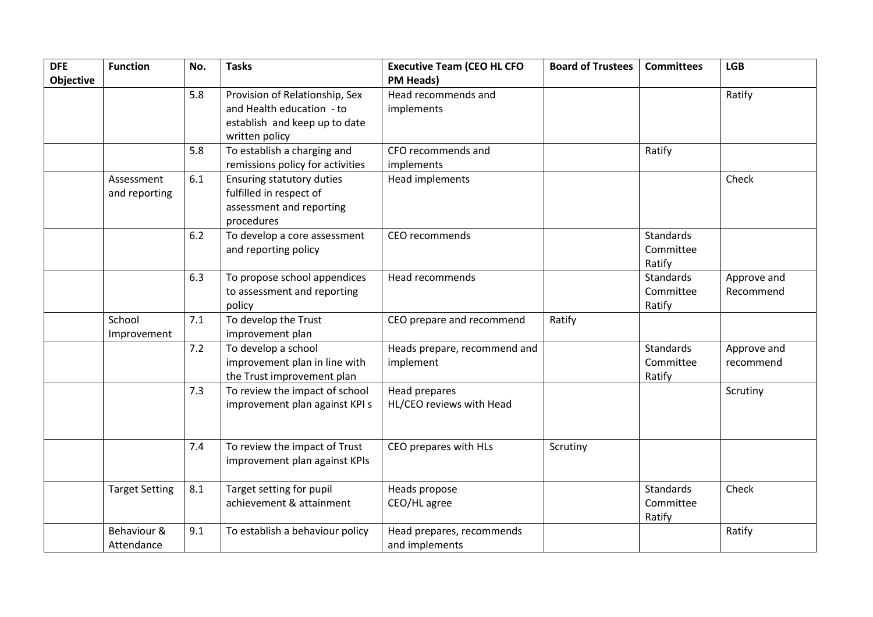| <b>DFE</b><br>Objective | <b>Function</b>             | No. | <b>Tasks</b>                                                                                                   | <b>Executive Team (CEO HL CFO</b><br><b>PM Heads)</b> | <b>Board of Trustees</b> | <b>Committees</b>                       | <b>LGB</b>               |
|-------------------------|-----------------------------|-----|----------------------------------------------------------------------------------------------------------------|-------------------------------------------------------|--------------------------|-----------------------------------------|--------------------------|
|                         |                             | 5.8 | Provision of Relationship, Sex<br>and Health education - to<br>establish and keep up to date<br>written policy | Head recommends and<br>implements                     |                          |                                         | Ratify                   |
|                         |                             | 5.8 | To establish a charging and<br>remissions policy for activities                                                | CFO recommends and<br>implements                      |                          | Ratify                                  |                          |
|                         | Assessment<br>and reporting | 6.1 | Ensuring statutory duties<br>fulfilled in respect of<br>assessment and reporting<br>procedures                 | Head implements                                       |                          |                                         | Check                    |
|                         |                             | 6.2 | To develop a core assessment<br>and reporting policy                                                           | CEO recommends                                        |                          | <b>Standards</b><br>Committee<br>Ratify |                          |
|                         |                             | 6.3 | To propose school appendices<br>to assessment and reporting<br>policy                                          | Head recommends                                       |                          | <b>Standards</b><br>Committee<br>Ratify | Approve and<br>Recommend |
|                         | School<br>Improvement       | 7.1 | To develop the Trust<br>improvement plan                                                                       | CEO prepare and recommend                             | Ratify                   |                                         |                          |
|                         |                             | 7.2 | To develop a school<br>improvement plan in line with<br>the Trust improvement plan                             | Heads prepare, recommend and<br>implement             |                          | <b>Standards</b><br>Committee<br>Ratify | Approve and<br>recommend |
|                         |                             | 7.3 | To review the impact of school<br>improvement plan against KPI s                                               | Head prepares<br>HL/CEO reviews with Head             |                          |                                         | Scrutiny                 |
|                         |                             | 7.4 | To review the impact of Trust<br>improvement plan against KPIs                                                 | CEO prepares with HLs                                 | Scrutiny                 |                                         |                          |
|                         | <b>Target Setting</b>       | 8.1 | Target setting for pupil<br>achievement & attainment                                                           | Heads propose<br>CEO/HL agree                         |                          | Standards<br>Committee<br>Ratify        | Check                    |
|                         | Behaviour &<br>Attendance   | 9.1 | To establish a behaviour policy                                                                                | Head prepares, recommends<br>and implements           |                          |                                         | Ratify                   |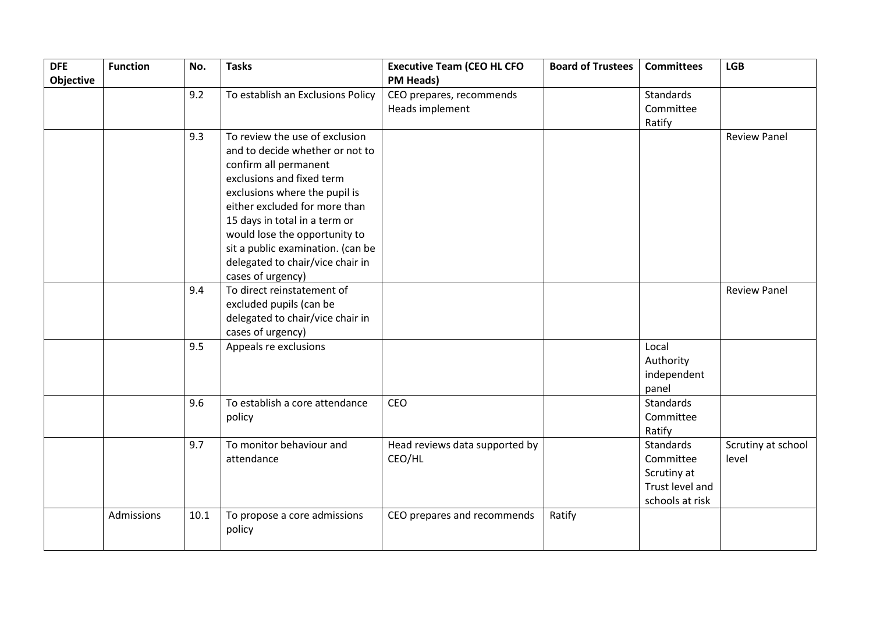| <b>DFE</b>       | <b>Function</b> | No.  | <b>Tasks</b>                           | <b>Executive Team (CEO HL CFO</b>        | <b>Board of Trustees</b> | <b>Committees</b>              | <b>LGB</b>                  |
|------------------|-----------------|------|----------------------------------------|------------------------------------------|--------------------------|--------------------------------|-----------------------------|
| <b>Objective</b> |                 |      |                                        | <b>PM Heads)</b>                         |                          |                                |                             |
|                  |                 | 9.2  | To establish an Exclusions Policy      | CEO prepares, recommends                 |                          | Standards<br>Committee         |                             |
|                  |                 |      |                                        | Heads implement                          |                          |                                |                             |
|                  |                 |      |                                        |                                          |                          | Ratify                         |                             |
|                  |                 | 9.3  | To review the use of exclusion         |                                          |                          |                                | <b>Review Panel</b>         |
|                  |                 |      | and to decide whether or not to        |                                          |                          |                                |                             |
|                  |                 |      | confirm all permanent                  |                                          |                          |                                |                             |
|                  |                 |      | exclusions and fixed term              |                                          |                          |                                |                             |
|                  |                 |      | exclusions where the pupil is          |                                          |                          |                                |                             |
|                  |                 |      | either excluded for more than          |                                          |                          |                                |                             |
|                  |                 |      | 15 days in total in a term or          |                                          |                          |                                |                             |
|                  |                 |      | would lose the opportunity to          |                                          |                          |                                |                             |
|                  |                 |      | sit a public examination. (can be      |                                          |                          |                                |                             |
|                  |                 |      | delegated to chair/vice chair in       |                                          |                          |                                |                             |
|                  |                 |      | cases of urgency)                      |                                          |                          |                                |                             |
|                  |                 | 9.4  | To direct reinstatement of             |                                          |                          |                                | <b>Review Panel</b>         |
|                  |                 |      | excluded pupils (can be                |                                          |                          |                                |                             |
|                  |                 |      | delegated to chair/vice chair in       |                                          |                          |                                |                             |
|                  |                 |      | cases of urgency)                      |                                          |                          |                                |                             |
|                  |                 | 9.5  | Appeals re exclusions                  |                                          |                          | Local                          |                             |
|                  |                 |      |                                        |                                          |                          | Authority                      |                             |
|                  |                 |      |                                        |                                          |                          | independent                    |                             |
|                  |                 |      |                                        |                                          |                          | panel                          |                             |
|                  |                 | 9.6  | To establish a core attendance         | CEO                                      |                          | <b>Standards</b>               |                             |
|                  |                 |      | policy                                 |                                          |                          | Committee                      |                             |
|                  |                 | 9.7  |                                        |                                          |                          | Ratify<br>Standards            |                             |
|                  |                 |      | To monitor behaviour and<br>attendance | Head reviews data supported by<br>CEO/HL |                          | Committee                      | Scrutiny at school<br>level |
|                  |                 |      |                                        |                                          |                          |                                |                             |
|                  |                 |      |                                        |                                          |                          | Scrutiny at<br>Trust level and |                             |
|                  |                 |      |                                        |                                          |                          | schools at risk                |                             |
|                  | Admissions      | 10.1 | To propose a core admissions           | CEO prepares and recommends              | Ratify                   |                                |                             |
|                  |                 |      | policy                                 |                                          |                          |                                |                             |
|                  |                 |      |                                        |                                          |                          |                                |                             |
|                  |                 |      |                                        |                                          |                          |                                |                             |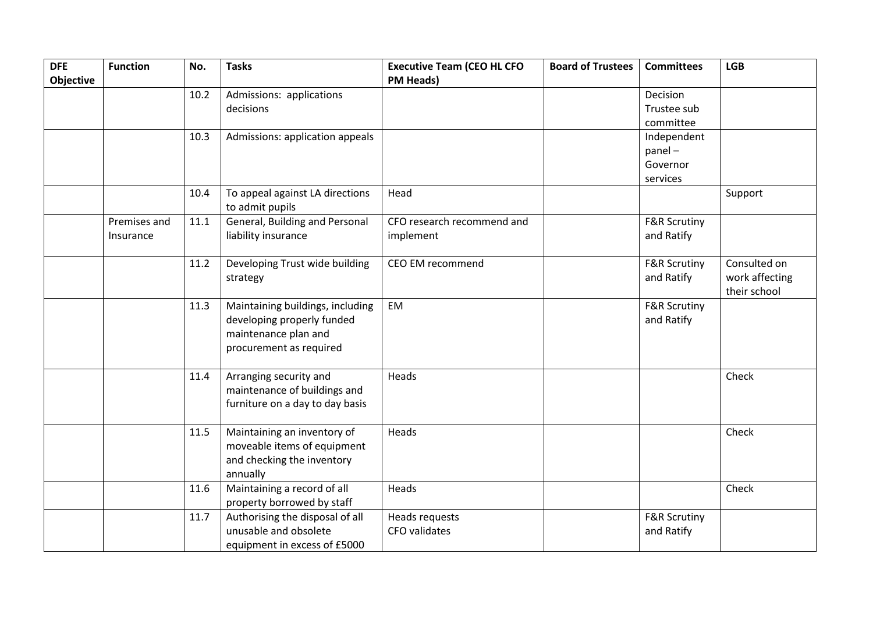| <b>DFE</b>       | <b>Function</b> | No.  | <b>Tasks</b>                                       | <b>Executive Team (CEO HL CFO</b> | <b>Board of Trustees</b> | <b>Committees</b>       | <b>LGB</b>     |
|------------------|-----------------|------|----------------------------------------------------|-----------------------------------|--------------------------|-------------------------|----------------|
| <b>Objective</b> |                 |      |                                                    | <b>PM Heads)</b>                  |                          |                         |                |
|                  |                 | 10.2 | Admissions: applications                           |                                   |                          | Decision                |                |
|                  |                 |      | decisions                                          |                                   |                          | Trustee sub             |                |
|                  |                 |      |                                                    |                                   |                          | committee               |                |
|                  |                 | 10.3 | Admissions: application appeals                    |                                   |                          | Independent             |                |
|                  |                 |      |                                                    |                                   |                          | panel-                  |                |
|                  |                 |      |                                                    |                                   |                          | Governor                |                |
|                  |                 |      |                                                    |                                   |                          | services                |                |
|                  |                 | 10.4 | To appeal against LA directions<br>to admit pupils | Head                              |                          |                         | Support        |
|                  | Premises and    | 11.1 | General, Building and Personal                     | CFO research recommend and        |                          | <b>F&amp;R Scrutiny</b> |                |
|                  | Insurance       |      | liability insurance                                | implement                         |                          | and Ratify              |                |
|                  |                 |      |                                                    |                                   |                          |                         |                |
|                  |                 | 11.2 | Developing Trust wide building                     | CEO EM recommend                  |                          | <b>F&amp;R Scrutiny</b> | Consulted on   |
|                  |                 |      | strategy                                           |                                   |                          | and Ratify              | work affecting |
|                  |                 |      |                                                    |                                   |                          |                         | their school   |
|                  |                 | 11.3 | Maintaining buildings, including                   | EM                                |                          | <b>F&amp;R Scrutiny</b> |                |
|                  |                 |      | developing properly funded                         |                                   |                          | and Ratify              |                |
|                  |                 |      | maintenance plan and                               |                                   |                          |                         |                |
|                  |                 |      | procurement as required                            |                                   |                          |                         |                |
|                  |                 |      |                                                    |                                   |                          |                         |                |
|                  |                 | 11.4 | Arranging security and                             | Heads                             |                          |                         | Check          |
|                  |                 |      | maintenance of buildings and                       |                                   |                          |                         |                |
|                  |                 |      | furniture on a day to day basis                    |                                   |                          |                         |                |
|                  |                 |      |                                                    |                                   |                          |                         |                |
|                  |                 | 11.5 | Maintaining an inventory of                        | Heads                             |                          |                         | Check          |
|                  |                 |      | moveable items of equipment                        |                                   |                          |                         |                |
|                  |                 |      | and checking the inventory                         |                                   |                          |                         |                |
|                  |                 |      | annually                                           |                                   |                          |                         |                |
|                  |                 | 11.6 | Maintaining a record of all                        | Heads                             |                          |                         | Check          |
|                  |                 |      | property borrowed by staff                         |                                   |                          |                         |                |
|                  |                 | 11.7 | Authorising the disposal of all                    | Heads requests                    |                          | <b>F&amp;R Scrutiny</b> |                |
|                  |                 |      | unusable and obsolete                              | CFO validates                     |                          | and Ratify              |                |
|                  |                 |      | equipment in excess of £5000                       |                                   |                          |                         |                |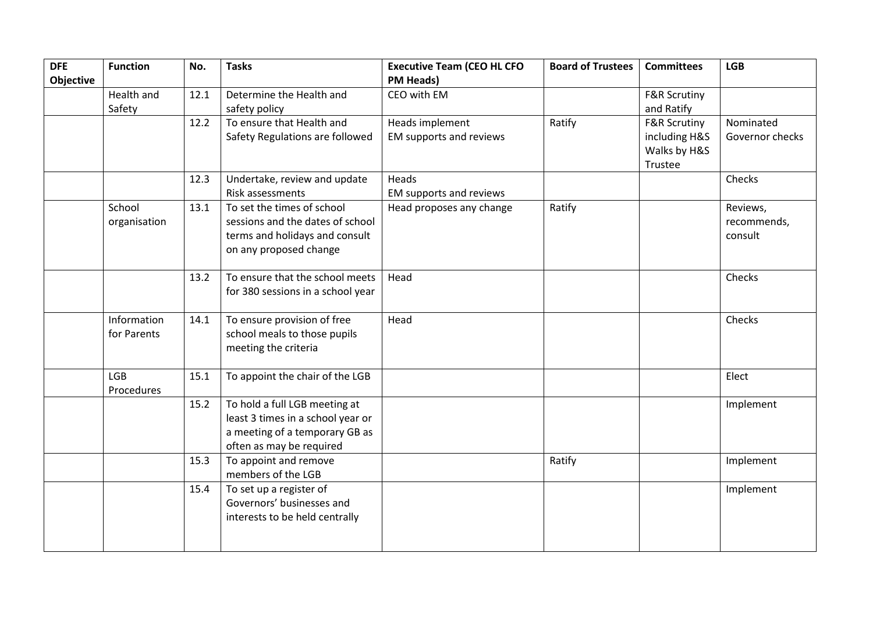| <b>DFE</b> | <b>Function</b> | No.  | <b>Tasks</b>                      | <b>Executive Team (CEO HL CFO</b> | <b>Board of Trustees</b> | <b>Committees</b>       | <b>LGB</b>      |
|------------|-----------------|------|-----------------------------------|-----------------------------------|--------------------------|-------------------------|-----------------|
| Objective  |                 |      |                                   | <b>PM Heads)</b>                  |                          |                         |                 |
|            | Health and      | 12.1 | Determine the Health and          | CEO with EM                       |                          | <b>F&amp;R Scrutiny</b> |                 |
|            | Safety          |      | safety policy                     |                                   |                          | and Ratify              |                 |
|            |                 | 12.2 | To ensure that Health and         | Heads implement                   | Ratify                   | <b>F&amp;R Scrutiny</b> | Nominated       |
|            |                 |      | Safety Regulations are followed   | EM supports and reviews           |                          | including H&S           | Governor checks |
|            |                 |      |                                   |                                   |                          | Walks by H&S            |                 |
|            |                 |      |                                   |                                   |                          | Trustee                 |                 |
|            |                 | 12.3 | Undertake, review and update      | Heads                             |                          |                         | Checks          |
|            |                 |      | Risk assessments                  | EM supports and reviews           |                          |                         |                 |
|            | School          | 13.1 | To set the times of school        | Head proposes any change          | Ratify                   |                         | Reviews,        |
|            | organisation    |      | sessions and the dates of school  |                                   |                          |                         | recommends,     |
|            |                 |      | terms and holidays and consult    |                                   |                          |                         | consult         |
|            |                 |      | on any proposed change            |                                   |                          |                         |                 |
|            |                 |      |                                   |                                   |                          |                         |                 |
|            |                 | 13.2 | To ensure that the school meets   | Head                              |                          |                         | Checks          |
|            |                 |      | for 380 sessions in a school year |                                   |                          |                         |                 |
|            |                 |      |                                   |                                   |                          |                         |                 |
|            | Information     | 14.1 | To ensure provision of free       | Head                              |                          |                         | Checks          |
|            | for Parents     |      | school meals to those pupils      |                                   |                          |                         |                 |
|            |                 |      | meeting the criteria              |                                   |                          |                         |                 |
|            |                 |      |                                   |                                   |                          |                         |                 |
|            | <b>LGB</b>      | 15.1 | To appoint the chair of the LGB   |                                   |                          |                         | Elect           |
|            | Procedures      |      |                                   |                                   |                          |                         |                 |
|            |                 | 15.2 | To hold a full LGB meeting at     |                                   |                          |                         | Implement       |
|            |                 |      | least 3 times in a school year or |                                   |                          |                         |                 |
|            |                 |      | a meeting of a temporary GB as    |                                   |                          |                         |                 |
|            |                 |      | often as may be required          |                                   |                          |                         |                 |
|            |                 | 15.3 | To appoint and remove             |                                   | Ratify                   |                         | Implement       |
|            |                 |      | members of the LGB                |                                   |                          |                         |                 |
|            |                 | 15.4 | To set up a register of           |                                   |                          |                         | Implement       |
|            |                 |      | Governors' businesses and         |                                   |                          |                         |                 |
|            |                 |      | interests to be held centrally    |                                   |                          |                         |                 |
|            |                 |      |                                   |                                   |                          |                         |                 |
|            |                 |      |                                   |                                   |                          |                         |                 |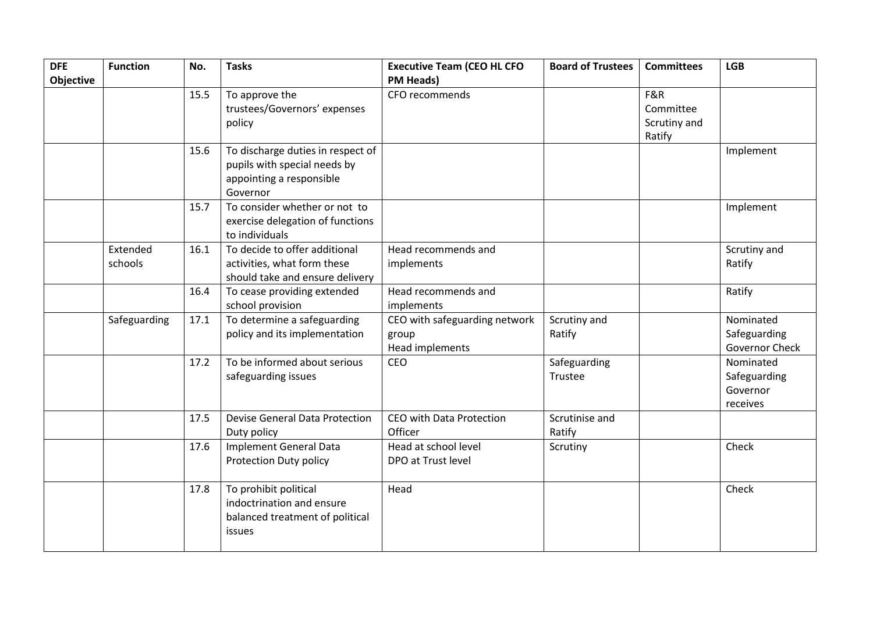| <b>DFE</b><br><b>Objective</b> | <b>Function</b>     | No.  | <b>Tasks</b>                                                                                              | <b>Executive Team (CEO HL CFO</b><br><b>PM Heads)</b>     | <b>Board of Trustees</b> | <b>Committees</b>                          | <b>LGB</b>                                        |
|--------------------------------|---------------------|------|-----------------------------------------------------------------------------------------------------------|-----------------------------------------------------------|--------------------------|--------------------------------------------|---------------------------------------------------|
|                                |                     | 15.5 | To approve the<br>trustees/Governors' expenses<br>policy                                                  | CFO recommends                                            |                          | F&R<br>Committee<br>Scrutiny and<br>Ratify |                                                   |
|                                |                     | 15.6 | To discharge duties in respect of<br>pupils with special needs by<br>appointing a responsible<br>Governor |                                                           |                          |                                            | Implement                                         |
|                                |                     | 15.7 | To consider whether or not to<br>exercise delegation of functions<br>to individuals                       |                                                           |                          |                                            | Implement                                         |
|                                | Extended<br>schools | 16.1 | To decide to offer additional<br>activities, what form these<br>should take and ensure delivery           | Head recommends and<br>implements                         |                          |                                            | Scrutiny and<br>Ratify                            |
|                                |                     | 16.4 | To cease providing extended<br>school provision                                                           | Head recommends and<br>implements                         |                          |                                            | Ratify                                            |
|                                | Safeguarding        | 17.1 | To determine a safeguarding<br>policy and its implementation                                              | CEO with safeguarding network<br>group<br>Head implements | Scrutiny and<br>Ratify   |                                            | Nominated<br>Safeguarding<br>Governor Check       |
|                                |                     | 17.2 | To be informed about serious<br>safeguarding issues                                                       | CEO                                                       | Safeguarding<br>Trustee  |                                            | Nominated<br>Safeguarding<br>Governor<br>receives |
|                                |                     | 17.5 | <b>Devise General Data Protection</b><br>Duty policy                                                      | CEO with Data Protection<br>Officer                       | Scrutinise and<br>Ratify |                                            |                                                   |
|                                |                     | 17.6 | <b>Implement General Data</b><br>Protection Duty policy                                                   | Head at school level<br>DPO at Trust level                | Scrutiny                 |                                            | Check                                             |
|                                |                     | 17.8 | To prohibit political<br>indoctrination and ensure<br>balanced treatment of political<br>issues           | Head                                                      |                          |                                            | Check                                             |